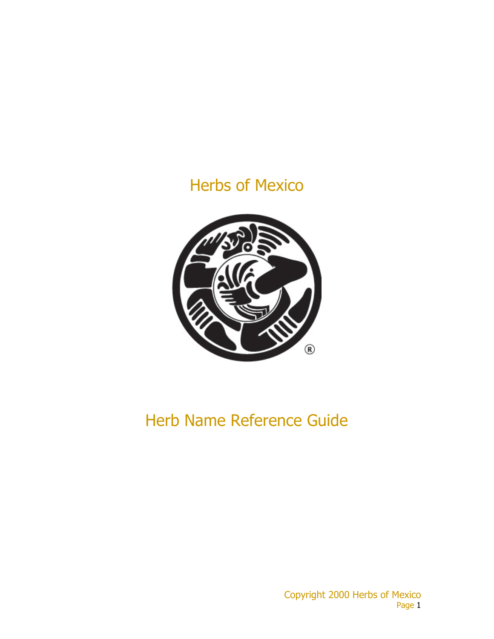## Herbs of Mexico



# Herb Name Reference Guide

Copyright 2000 Herbs of Mexico Page 1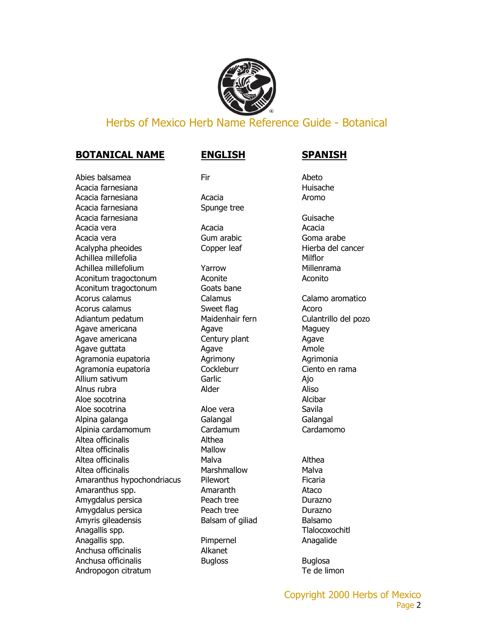

### Herbs of Mexico Herb Name Reference Guide - Botanical

### **BOTANICAL NAME ENGLISH SPANISH**

Abies balsamea Fir Fire and Abeto Acacia farnesiana habitata da anti-analysis da anti-analysis da anti-analysis da anti-analysis da anti-analysis da anti-analysis da anti-analysis da anti-analysis da anti-analysis da anti-analysis da anti-analysis da anti-Acacia farnesiana and acacia acacia acasa aromo Aromo Acacia farnesiana Spunge tree Acacia farnesiana Guisache Acacia vera **Acacia** Acacia **Acacia** Acacia Acacia Acacia vera **Gum arabic** Gum arabic Goma arabe Acalypha pheoides Copper leaf Hierba del cancer Achillea millefolia and a millefolia millefolia and a millefolia and a millefolia millefolia and a millefolia Achillea millefolium **Yarrow** Millenrama Aconitum tragoctonum Aconite Aconito Aconitum tragoctonum Goats bane Acorus calamus Calamus Calamo aromatico Acorus calamus **Acoro** Sweet flag **Acoro** Acoro Adiantum pedatum Maidenhair fern Culantrillo del pozo Agave americana and agave Agave Maguey Agave americana **Century plant** Agave Agave guttata and Agave Agave Amole Agramonia eupatoria **Agrimony** Agrimonia Agrimonia Agramonia eupatoria Cockleburr Ciento en rama Allium sativum Garlic Garlic Ajo Alnus rubra and a control and Alder Aliso Aloe socotrina and a series are a series of the Alcibar Aloe socotrina and Aloe vera Savila Alpina galanga Galangal Galangal Alpinia cardamomum Cardamum Cardamomo Altea officinalis and althea Altea officinalis Mallow Altea officinalis and a matter Malva and Althea Altea officinalis **Marshmallow** Malva Amaranthus hypochondriacus Pilewort Ficaria Amaranthus spp. **Amaranth** Ataco Amygdalus persica **Peach tree** Peach tree **Durazno** Amygdalus persica **Peach tree** Peach tree Durazno Amyris gileadensis **Balsam of giliad** Balsamo Anagallis spp. Tlalocoxochitl Anagallis spp. The Pimpernel Anagalide Anagalide Anchusa officinalis **Alkanet** Anchusa officinalis **Bugloss** Bugloss **Buglosa** Andropogon citratum and the state of the state of the Te de limon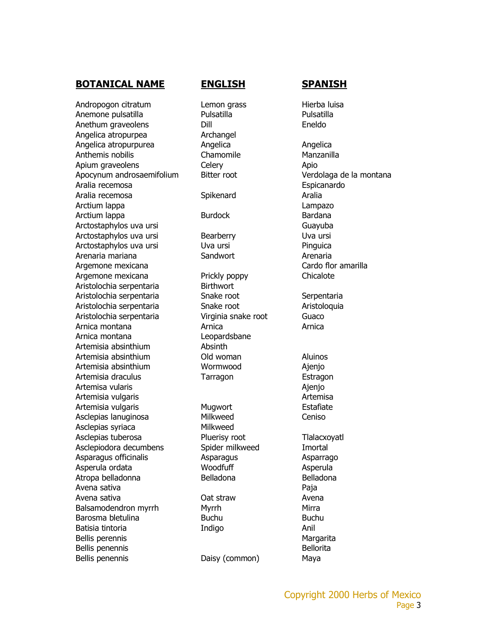Andropogon citratum Lemon grass Hierba luisa Anemone pulsatilla Pulsatilla Pulsatilla Anethum graveolens Dill Dill Eneldo Angelica atropurpea Archangel Angelica atropurpurea **Angelica** Angelica Angelica Anthemis nobilis and a Chamomile Manzanilla Apium graveolens Celery Celery Apio Apocynum androsaemifolium Bitter root Verdolaga de la montana Aralia recemosa entre espicanardo en el espicanardo en el espicanardo en el espicanardo en el espicanardo en e Aralia recemosa **Spikenard** Spikenard Aralia Arctium lappa Lampazo Arctium lappa **Burdock** Burdock Bardana Arctostaphylos uva ursi and a controller controller and a Guayuba Arctostaphylos uva ursi Bearberry Bearberry Uva ursi Arctostaphylos uva ursi Uva ursi Pinguica Arenaria mariana Sandwort Arenaria Argemone mexicana Cardo flor amarilla Argemone mexicana Prickly poppy Chicalote Aristolochia serpentaria Birthwort Aristolochia serpentaria Snake root Serpentaria Aristolochia serpentaria Snake root aristoloquia Aristolochia serpentaria Virginia snake root Guaco Arnica montana Arnica Arnica Arnica montana Leopardsbane Artemisia absinthium Absinth Artemisia absinthium Old woman Aluinos Artemisia absinthium Mormwood and Ajenjo Artemisia draculus **Tarragon Estragon** Artemisa vularis **Antemisa** vularis **Ajenio** Ajenjo Artemisia vulgaris and a series and a series and a series and a series and a series and a series and a series a Artemisia vulgaris **Mugwort** Mugwort Estafiate Asclepias lanuginosa Milkweed Ceniso Asclepias syriaca Milkweed Asclepias tuberosa **Pluerisy root** Pluerisy root Tlalacxoyatl Asclepiodora decumbens Spider milkweed Imortal Asparagus officinalis and Asparagus Asparagus Asparago Asperula ordata Moodfuff Asperula Atropa belladonna anno Belladona Belladona Belladona Avena sativa Paja Avena sativa Oat straw Avena Balsamodendron myrrh Myrrh Myrrh Mirra Barosma bletulina Buchu Buchu Buchu Batisia tintoria **Indigo Indigo** Anil Bellis perennis and a series of the series of the Margarita Bellis penennis and a settlement of the Bellorita Bellis penennis **Daisy (common)** Maya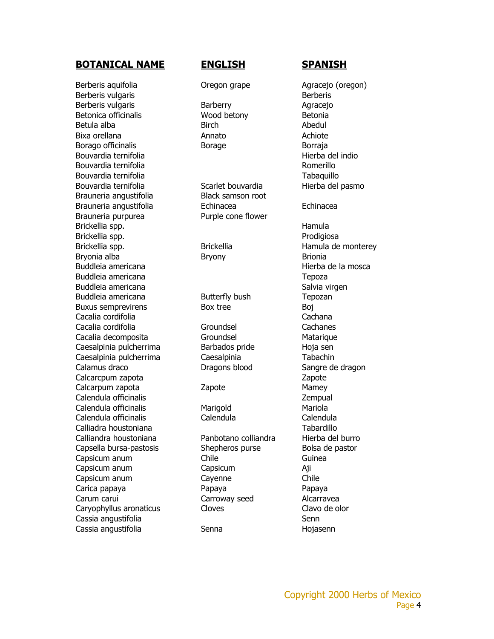Berberis aquifolia Oregon grape Agracejo (oregon) Berberis vulgaris and a structure of the Berberis Berberis Berberis Berberis vulgaris and a Barberry and Barberry Agracejo Betonica officinalis **Wood betony** Betonia Betula alba **Birch** Birch Birch **Abedul** Bixa orellana anno 2008. Annato anno 2008 Achiote Borago officinalis **Borage** Borage Borraja Bouvardia ternifolia del controllo del indio del indio del indio del indio del indio del indio del indio del i Bouvardia ternifolia alla controllo della controllo della Romerillo Bouvardia ternifolia alla controlle controlle della controlle della Controlle della Tabaquillo Bouvardia ternifolia entra Scarlet bouvardia entre Hierba del pasmo Brauneria angustifolia Black samson root Brauneria angustifolia Echinacea Echinacea Brauneria purpurea Purple cone flower Brickellia spp. **Hamula** Brickellia spp. **Prodigiosa** Brickellia spp. The Brickellia Controller Hamula de monterey Bryonia alba **Bryony** Bryony Brionia Buddleia americana de la mosca de la mosca de la mosca de la mosca de la mosca de la mosca de la mosca de la mosca de la mosca de la mosca de la mosca de la mosca de la mosca de la mosca de la mosca de la mosca de la mosca Buddleia americana **Tepoza** Buddleia americana **Salvia virgen** Salvia virgen Buddleia americana Butterfly bush Tepozan Buxus semprevirens Box tree Boj Cacalia cordifolia Cachana Cacalia cordifolia Groundsel Cachanes Cacalia decomposita Groundsel Groundsel Matarique Caesalpinia pulcherrima Barbados pride Hoja sen Caesalpinia pulcherrima Caesalpinia Tabachin Calamus draco Dragons blood Sangre de dragon Calcarcpum zapota **Zapote** Zapote Calcarpum zapota Zapote Mamey Calendula officinalis Zempual Calendula officinalis **Marigold** Mariola Calendula officinalis Calendula Calendula Calliadra houstoniana Tabardillo Calliandra houstoniana Panbotano colliandra Hierba del burro Capsella bursa-pastosis Shepheros purse Bolsa de pastor Capsicum anum Chile Chile Guinea Capsicum anum Capsicum Aji Capsicum anum Cayenne Chile Carica papaya Papaya Papaya Carum carui Carroway seed Alcarravea Caryophyllus aronaticus Cloves Cloves Clavo de olor Cassia angustifolia ang sa angustifolia ang sa angustifolia ang sa anggota sa anggota sa anggota sa anggota sa Cassia angustifolia Senna Hojasenn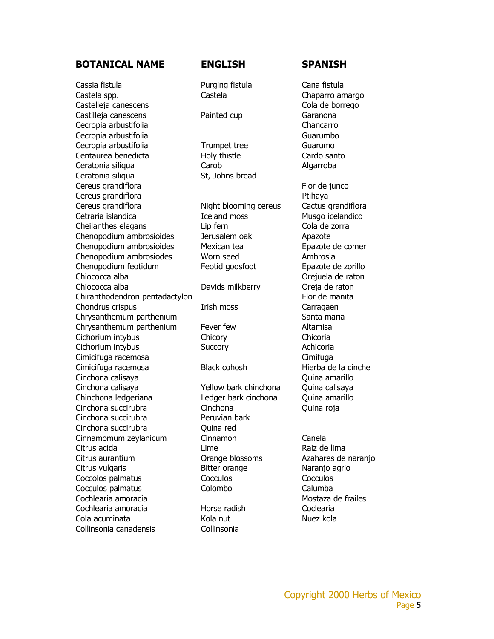Cassia fistula Purging fistula Cana fistula Castela spp. Castela Castela Castela Chaparro amargo Castelleja canescens Cola de borrego Castilleja canescens **Painted cup** Garanona Cecropia arbustifolia Chancarro Cecropia arbustifolia di controlle controlle di controlle di controlle di Guarumbo Cecropia arbustifolia Trumpet tree Guarumo Centaurea benedicta Holy thistle Cardo santo Ceratonia siliqua Carob Algarroba Ceratonia siliqua St, Johns bread Cereus grandiflora **Flor de junco** Cereus grandiflora **Ptihaya** Cereus grandiflora **Night blooming cereus** Cactus grandiflora Cetraria islandica Iceland moss Musgo icelandico Cheilanthes elegans Lip fern Cola de zorra Chenopodium ambrosioides Jerusalem oak Apazote Chenopodium ambrosioides Mexican tea external expansion Epazote de comer Chenopodium ambrosiodes Worn seed Ambrosia Chenopodium feotidum Feotid goosfoot Epazote de zorillo Chiococca alba **Oregia de raton** Chiococca alba Davids milkberry Oreja de raton Chiranthodendron pentadactylon Flor de manita Chondrus crispus Irish moss Carragaen Chrysanthemum parthenium Santa maria Chrysanthemum parthenium Fever few Altamisa Cichorium intybus Chicory Chicory Chicoria Cichorium intybus Succory Achicoria Cimicifuga racemosa Cimifuga Cimicifuga racemosa Black cohosh Hierba de la cinche Cinchona calisaya Quina amarillo Cinchona calisaya Yellow bark chinchona Quina calisaya Chinchona ledgeriana Ledger bark cinchona Quina amarillo Cinchona succirubra Cinchona Quina roja Cinchona succirubra Peruvian bark Cinchona succirubra **Cinchona** succirubra Cinnamomum zeylanicum Cinnamon Canela Citrus acida **Lime** Lime **Raiz de lima** Citrus aurantium Orange blossoms Azahares de naranjo Citrus vulgaris Bitter orange Naranjo agrio Coccolos palmatus Cocculos Cocculos Cocculos palmatus Colombo Calumba Cochlearia amoracia Mostaza de frailes Cochlearia amoracia Horse radish Coclearia Cola acuminata Kola nut Nuez kola Collinsonia canadensis Collinsonia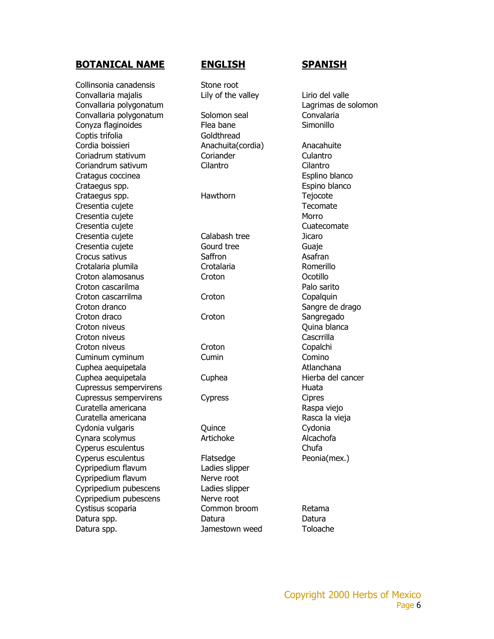Collinsonia canadensis Stone root Convallaria majalis **Lily of the valley** Lirio del valle Convallaria polygonatum Lagrimas de solomon Convallaria polygonatum Solomon seal Convalaria Conyza flaginoides Flea bane Simonillo Coptis trifolia and Goldthread Cordia boissieri anno 1992 — Anachuita(cordia) anno 2012 — Anacahuite Coriadrum stativum Coriander Coriance Culantro Coriandrum sativum Cilantro Cilantro Cratagus coccinea **Esplino** blanco Crataegus spp. **Expirit September 2018** Espino blanco Crataegus spp. The Mawthorn Tejocote Cresentia cujete **Tecomate** Tecomate Cresentia cujete Morro establece a morto de Morro Morro Cresentia cujete change contra cui contra cui contra cui contra cui contra cui contra cui contra cui contra cu Cresentia cujete Calabash tree Jicaro Cresentia cujete Cresentia cujete Gourd tree Guaje Crocus sativus Crocus Saffron Crocus Saffron Crotalaria plumila Crotalaria Romerillo Croton alamosanus Croton Ocotillo Croton cascarilma **Palo sarito** Croton cascarrilma Croton Copalquin Croton dranco **Sangre de drago** Croton draco Croton Croton Sangregado Croton niveus **Croton niveus** Quina blanca Croton niveus **Cascrilla** Croton niveus Croton Croton Copalchi Cuminum cyminum Cumin Comino Cuphea aequipetala Atlanchana Cuphea aequipetala Cuphea Cuphea Hierba del cancer Cupressus sempervirens and the extent of the Huata Cupressus sempervirens Cypress Cipres Curatella americana **Raspa viejo** Raspa viejo Curatella americana **Rasca la vieja** Rasca la vieja Cydonia vulgaris Cydonia Cydonia Cydonia Cynara scolymus **Artichoke** Artichoke Alcachofa Cyperus esculentus chufa Cyperus esculentus Flatsedge Peonia(mex.) Cypripedium flavum Ladies slipper Cypripedium flavum Nerve root Cypripedium pubescens Ladies slipper Cypripedium pubescens Nerve root Cystisus scoparia Common broom Retama Datura spp. 6 and 20 and 20 and 20 and 20 and 20 and 20 and 20 and 20 and 20 and 20 and 20 and 20 and 20 and 20 Datura spp. The Contract of the University Datura space of the University Datura space of Toloache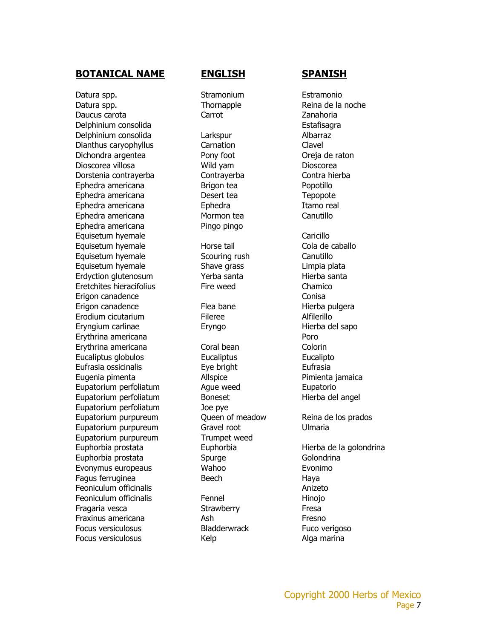Datura spp. The Communist Contract Stramonium Estramonio Datura spp. Thornapple Reina de la noche Reina de la noche Daucus carota Carrot Zanahoria Delphinium consolida extraordination of the Estafisagra Delphinium consolida Larkspur Albarraz Dianthus caryophyllus Carnation Carnation Clavel Dichondra argentea Pony foot Oreja de raton Dioscorea villosa Wild yam Dioscorea Dorstenia contrayerba Contrayerba Contra hierba Ephedra americana Brigon tea Popotillo Ephedra americana Desert tea Tepopote Ephedra americana **Ephedra** Ephedra Itamo real Ephedra americana Mormon tea Canutillo Ephedra americana Pingo pingo Equisetum hyemale **Caricillo** Equisetum hyemale **Horse** tail Cola de caballo Equisetum hyemale Scouring rush Canutillo Equisetum hyemale Shave grass Limpia plata Erdyction glutenosum Yerba santa Hierba santa Eretchites hieracifolius Fire weed Chamico Erigon canadence Conisa Erigon canadence Flea bane Erodium cicutarium Fileree Alfilerillo Eryngium carlinae Eryngo Hierba del sapo Erythrina americana **Poro** Erythrina americana Coral bean Colorin Eucaliptus globulos Eucaliptus Eucalipto Eufrasia ossicinalis **Exercise Exercise Eufrasia** Eufrasia Eugenia pimenta Allspice Pimienta jamaica Eupatorium perfoliatum Ague weed Eupatorio Eupatorium perfoliatum Boneset Boneset Hierba del angel Eupatorium perfoliatum Joe pye Eupatorium purpureum Queen of meadow Reina de los prados Eupatorium purpureum Gravel root Ulmaria Eupatorium purpureum Trumpet weed Euphorbia prostata Euphorbia Hierba de la golondrina Euphorbia prostata e Spurge Golondrina Evonymus europeaus **Evonymus** europeaus **Wahoo** Evonimo Fagus ferruginea Beech Beech Haya Feoniculum officinalis **Anizeto** Anizeto Feoniculum officinalis Fennel Fennel Hinojo Fragaria vesca **Strawberry** Strawberry Fresa Fraxinus americana Ash Fresno Focus versiculosus **Example 20 Fuco verigoso** Bladderwrack **Fuco verigoso** Focus versiculosus **Kelp** Kelp Alga marina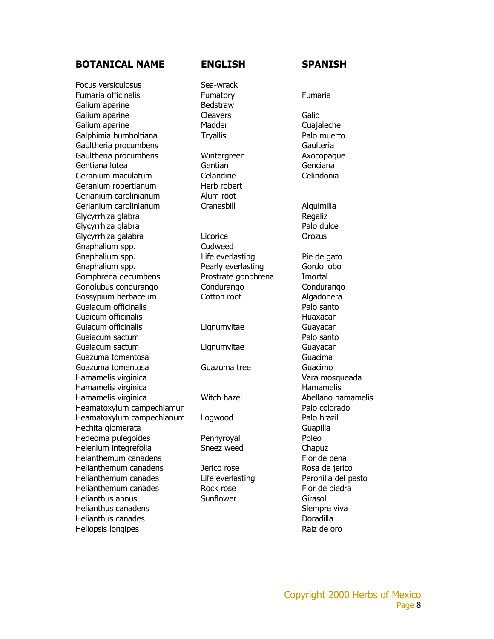Focus versiculosus **Sea-wrack** Fumaria officinalis Fumatory Fumaria Galium aparine **Bedstraw** Galium aparine **Cleavers** Cleavers Galio Galium aparine **Cualization Cuanalist Cuanalist Cualization** Madder Cualization Cualization Cua Galphimia humboltiana Tryallis **Palo muerto** Gaultheria procumbens Gaulteria Gaultheria procumbens **Wintergreen** Axocopaque Gentiana lutea Gentian Genciana Geranium maculatum Celandine Celindonia Geranium robertianum **Herb** robert Gerianium carolinianum Alum root Gerianium carolinianum Cranesbill Craneshill Alquimilia Glycyrrhiza glabra and a control of the Regaliz Glycyrrhiza glabra **Palo dulce** Palo dulce Glycyrrhiza galabra **Licorice Contact Constructs** Consumer Server and Density Consumer Server Assembly Consumer Server Assembly Consumer Server Assembly Consumer Server Assembly Consumer Server Assembly Consumer Server A Gnaphalium spp. Cudweed Gnaphalium spp. The Life everlasting The de gato Gnaphalium spp. The Pearly everlasting Gordo lobo Gomphrena decumbens **Prostrate gonphrena** Imortal Gonolubus condurango Condurango Condurango Gossypium herbaceum Cotton root algadonera Guaiacum officinalis **Palo santo** Guaicum officinalis **Huaxacan** Huaxacan **Huaxacan** Guiacum officinalis Lignumvitae Guayacan Guaiacum sactum **participates** control of the Palo santo Guaiacum sactum Lignumvitae Guayacan Guazuma tomentosa Guacima Guazuma tomentosa Guazuma tree Guacimo Hamamelis virginica **Vara mosqueada** Hamamelis virginica Hamamelis virginica **Witch hazel** Mitch hazel Abellano hamamelis Heamatoxylum campechiamun external participation of Palo colorado Heamatoxylum campechianum Logwood Palo brazil Hechita glomerata Guapilla Hedeoma pulegoides **Pennyroyal** Poleo Helenium integrefolia Sneez weed Chapuz Helanthemum canadens Flor de pena Helianthemum canadens and Derico rose and the Rosa de jerico Helianthemum canades Life everlasting Peronilla del pasto Helianthemum canades Rock rose Flor de piedra Helianthus annus Sunflower Girasol Helianthus canadens **Siempre viva** Helianthus canades **Doradilla** Heliopsis longipes **Raiz de oro**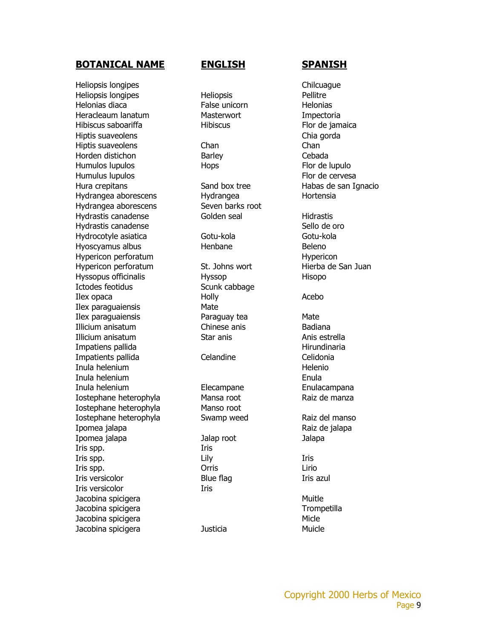Heliopsis longipes **Chilcuague** Chilcuague Heliopsis longipes **Heliopsis** Heliopsis Pellitre Helonias diaca False unicorn Helonias Heracleaum lanatum Masterwort Impectoria Hibiscus saboariffa **Hibiscus** Hibiscus Flor de jamaica Hiptis suaveolens **Chia gorda** Hiptis suaveolens Chan Chan Horden distichon Barley Barley Cebada Humulos lupulos **Flor de lupulo** Humulus lupulos **Flor de cervesa** Hura crepitans Sand box tree Habas de san Ignacio Hydrangea aborescens entry Hydrangea Hortensia Hydrangea aborescens Seven barks root Hydrastis canadense Golden seal Hidrastis Hydrastis canadense Sello de oro Hydrocotyle asiatica Gotu-kola Gotu-kola Hyoscyamus albus **Henbane** Henbane Beleno Hypericon perforatum and the state of the Hypericon Hypericon Hypericon perforatum St. Johns wort Hierba de San Juan Hyssopus officinalis **Hyssop** Hyssop Hisopo Ictodes feotidus Scunk cabbage Ilex opaca Holly Acebo Ilex paraguaiensis Mate Ilex paraguaiensis Paraguay tea Mate Illicium anisatum Chinese anis Badiana Illicium anisatum Star anis Star anis Anis estrella Impatiens pallida **Hirundinaria** Hirundinaria Impatients pallida Celandine Celandine Celidonia Inula helenium and the state of the state of the Helenio Inula helenium Enula Inula helenium Elecampane Enulacampana Iostephane heterophyla Mansa root Raiz de manza Iostephane heterophyla Manso root Iostephane heterophyla Swamp weed Raiz del manso Ipomea jalapa **Raiz de jalapa** Raiz de jalapa Ipomea jalapa Jalap root Jalapa Iris spp. Iris Iris spp. The Lily Contract Lily Contract of the Lily Contract of the Lily Contract of the Lily Iris spp. Orris Lirio Iris versicolor **Blue flag** Iris azul Iris versicolor Iris Jacobina spicigera Muitle Jacobina spicigera Trompetilla Jacobina spicigera Micle Jacobina spicigera **Muicle** Justicia **Muicle** Muicle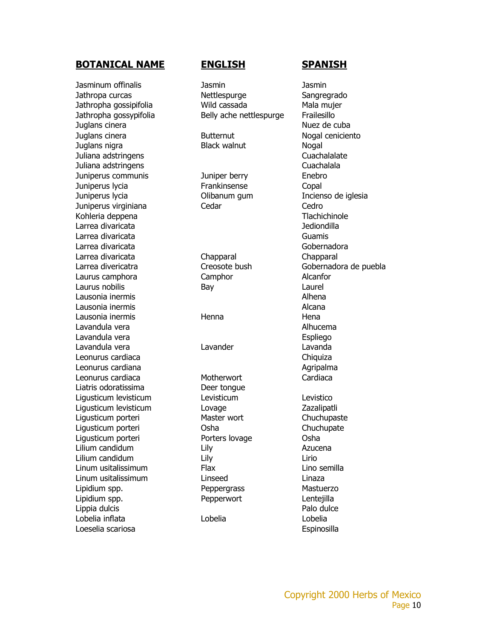Jasminum offinalis Jasmin Jasmin Jathropa curcas Mettlespurge Sangregrado Jathropha gossipifolia Wild cassada Mala mujer Jathropha gossypifolia Belly ache nettlespurge Frailesillo Juglans cinera **Nuez de cuba** Juglans cinera **Butternut** Butternut Nogal ceniciento Juglans nigra Black walnut Nogal Juliana adstringens Cuachalalate Juliana adstringens Cuachalala Juniperus communis Juniper berry Enebro Juniperus lycia Frankinsense Copal Juniperus lycia Olibanum gum Incienso de iglesia Juniperus virginiana Cedar Cedro Kohleria deppena Tlachichinole Larrea divaricata Jediondilla Larrea divaricata distribution de la contrata distribution de la contrata distribution de la contrata distribution de la contrata distribution de la contrata distribution de la contrata distribution de la contrata distribu Larrea divaricata distribuide de la contrata de la contrata de Gobernadora Larrea divaricata Chapparal Chapparal Larrea divericatra **Creosote bush** Gobernadora de puebla Laurus camphora Camphor Alcanfor Laurus nobilis and Bay Bay Caurel Laurel Lausonia inermis Alhena Lausonia inermis and a structure of the structure of the Alcana Lausonia inermis and the Henna Hena Hena Lavandula vera Alhucema Lavandula vera entre a controllato de la controllato de la Espliego Lavandula vera Lavander Lavanda Leonurus cardiaca **Chiquiza** Chiquiza Leonurus cardiana **Agripalma** Agripalma Leonurus cardiaca Motherwort Cardiaca Liatris odoratissima Deer tongue Ligusticum levisticum Levisticum Levistico Ligusticum levisticum Lovage Zazalipatli Ligusticum porteri **Master wort** Chuchupaste Ligusticum porteri Osha Chuchupate Ligusticum porteri Porters lovage Osha Lilium candidum Lily Azucena Lilium candidum Lily Lirio Linum usitalissimum Flax Lino semilla Linum usitalissimum Linseed Linaza Lipidium spp. The Peppergrass That Mastuerzo Lipidium spp. Pepperwort Lentejilla Lippia dulcis and the extension of the extent of the Palo dulce Lobelia inflata Lobelia Lobelia Loeselia scariosa eta espinosilla eta espinosilla eta espinosilla eta espinosilla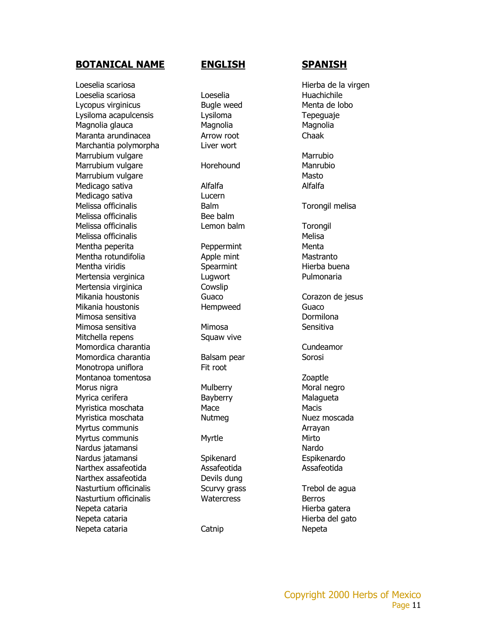Loeselia scariosa Hierba de la virgen Loeselia scariosa Loeselia Huachichile Lycopus virginicus Bugle weed Menta de lobo Lysiloma acapulcensis Lysiloma Character Lysiloma Tepeguaje Magnolia glauca **Magnolia** Magnolia Magnolia Maranta arundinacea **Arrow root** Chaak Marchantia polymorpha Liver wort Marrubium vulgare Marrubio Marrubium vulgare **Mannubio** Horehound Mannubio Marrubium vulgare Masto Medicago sativa **Alfalfa** Alfalfa Alfalfa Medicago sativa **Lucern** Melissa officinalis **Balm** Balm **Torongil melisa** Melissa officinalis and Bee balm Melissa officinalis Lemon balm Torongil Melissa officinalis and the matter of the Melisa Mentha peperita **Peppermint** Peppermint Menta Mentha rotundifolia and Apple mint Mastranto Mentha viridis **Spearmint** Spearmint Hierba buena Mertensia verginica eta alugwort eta Pulmonaria Mertensia virginica Cowslip Mikania houstonis **Guaco** Guaco **Corazon de jesus** Mikania houstonis **Hempweed** Guaco Mimosa sensitiva di controllo di controllo di controllo di controllo di controllo di controllo di controllo di Mimosa sensitiva Mimosa Sensitiva Mitchella repens Squaw vive Momordica charantia Cundeamor Momordica charantia **Balsam pear** Sorosi Monotropa uniflora **Fit root** Montanoa tomentosa **Zoaptie** Zoaptle Morus nigra **Mulberry** Mulberry Moral negro Myrica cerifera **Bayberry** Bayberry Malagueta Myristica moschata Mace Macis Myristica moschata **Nutmeg** Nutmeg Nuez moscada Myrtus communis and the communis and the communis and the communism of the communism of the communism  $\Delta$ Myrtus communis and Myrtle Mirto Nardus jatamansi **Nardo** Nardo Nardo Nardo Nardo Nardo Nardo Nardo Nardo Nardo Nardo Nardo Nardo Nardo Nardo Nardo Nardo Nardo Nardo Nardo Nardo Nardo Nardo Nardo Nardo Nardo Nardo Nardo Nardo Nardo Nardo Nardo Nardo Nardo Nardus jatamansi Spikenard Espikenardo Narthex assafeotida 
and Assafeotida 
and Assafeotida 
and Assafeotida Narthex assafeotida Devils dung Nasturtium officinalis **S**curvy grass Trebol de agua Nasturtium officinalis Watercress Berros Nepeta cataria **Hierba gatera** Nepeta cataria hierba del gato Nepeta cataria Catnip Nepeta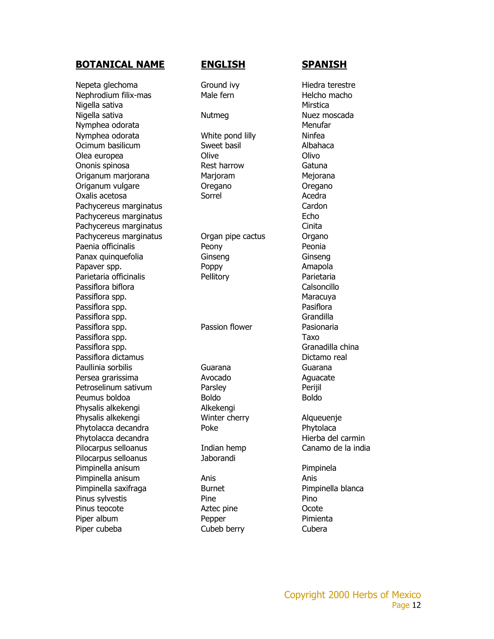Nepeta glechoma Ground ivy Hiedra terestre Nephrodium filix-mas Male fern Helcho macho Nigella sativa and a subset of the set of the set of the Mirstica Nigella sativa Nutmeg Nuez moscada Nymphea odorata and a material and a material menufar Nymphea odorata **White pond lilly** Ninfea Ocimum basilicum Sweet basil Albahaca Olea europea Olive Olivo Ononis spinosa **Rest harrow** Rest harrow Gatuna Origanum marjorana Marjoram Mejorana Origanum vulgare **Oregano** Oregano **Oregano** Oxalis acetosa Sorrel Acedra Pachycereus marginatus **Cardon** Pachycereus marginatus **Echo** Pachycereus marginatus **Cinita** Pachycereus marginatus **C**rgan pipe cactus **Organo** Paenia officinalis **Peonia** Peony Peonia Panax quinquefolia Ginseng Ginseng Ginseng Ginseng Papaver spp. The Roop Poppy The Poppy Amapola Parietaria officinalis **Pellitory** Parietaria Passiflora biflora controllo controllo controllo calsoncillo Passiflora spp. Maracuya Passiflora spp. **Passiflora** and *Pasiflora* and *Pasiflora* Passiflora spp. Grandilla Passiflora spp. **Exercise Senson** Passion flower **Passionaria** Passiflora spp. Taxo Passiflora spp. Granadilla china Passiflora dictamus **Dictamo real** Paullinia sorbilis Cuarana Guarana Guarana Guarana Persea grarissima **Avocado** Avocado Aguacate Petroselinum sativum **Parsley** Parsley Perijil Peumus boldoa Boldo Boldo Physalis alkekengi **Alkekengi** Physalis alkekengi Winter cherry Alqueuenje Phytolacca decandra entry Poke Phytolaca Phytolaca Phytolacca decandra entrance a material del carmin Pilocarpus selloanus **Indian hemp** Canamo de la india Pilocarpus selloanus Jaborandi Pimpinella anisum Pimpinela Pimpinella anisum anis Anis Anis Anis Anis Pimpinella saxifraga entra Burnet Pimpinella blanca Pinus sylvestis **Pine** Pine Pino Pinus teocote **Aztec pine** Aztec pine **Ocote** Piper album Pepper Pepper Pimienta Piper cubeba Cubeb berry Cubera

Copyright 2000 Herbs of Mexico Page 12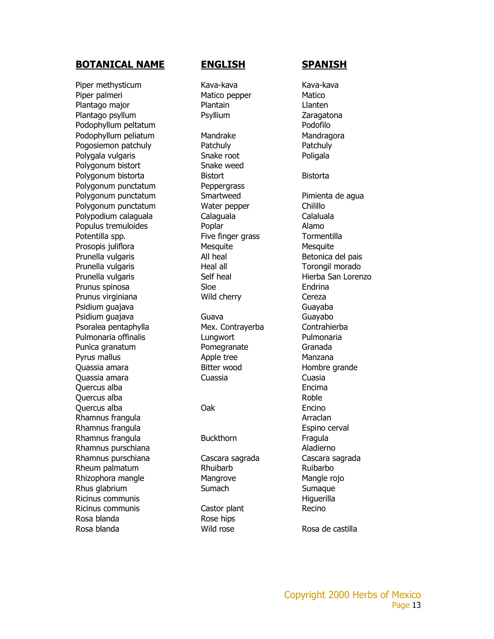Piper methysticum Kava-kava Kava-kava Kava-kava Piper palmeri **Matico pepper** Matico Pepper Matico Plantago major **Plantain** Plantain Llanten Plantago psyllum Psyllium Psyllium Zaragatona Podophyllum peltatum and a state of the Podofilo Podophyllum peliatum Mandrake Mandragora Pogosiemon patchuly **Patchuly** Patchuly Pogosiemon patchuly Polygala vulgaris **Snake root** Poligala Polygonum bistort Snake weed Polygonum bistorta **Bistort** Bistort Bistorta Polygonum punctatum Peppergrass Polygonum punctatum Smartweed Pimienta de agua Polygonum punctatum Water pepper Chilillo Polypodium calaguala Calaguala Calaluala Populus tremuloides **Poplar** Poplar Alamo Potentilla spp. The Five finger grass Tormentilla Prosopis juliflora Mesquite Mesquite Mesquite Prunella vulgaris and a controller and a controller and a controller betonica del pais Prunella vulgaris **Neal all** Neal all Torongil morado Prunella vulgaris and Self heal Self heal Hierba San Lorenzo Prunus spinosa Sloe Sloe Prunus virginiana **Wild cherry** Cereza Psidium guajava Guayaba Guayaba Psidium guajava Guava Guayabo Psoralea pentaphylla Mex. Contrayerba Contrahierba Pulmonaria offinalis **Lungwort** Pulmonaria Punica granatum **Pomegranate** Granada Pyrus mallus **Apple tree** Manzana Quassia amara Bitter wood Hombre grande Quassia amara Cuassia Cuasia Quercus alba Encima Quercus alba **Roble** Quercus alba **Calculation Calculation** Oak **Encino** Rhamnus frangula **Arraclan** Rhamnus frangula Espino cerval Rhamnus frangula **Buckthorn** Fragula Rhamnus purschiana **Aladierno** Aladierno Rhamnus purschiana Cascara sagrada Cascara sagrada Rheum palmatum **Rhuibarb** Rhuibarbo Rhizophora mangle **Mangrove** Mangrove Mangle rojo Rhus glabrium Sumach Sumach Sumaque Ricinus communis and the state of the state of the Higuerilla Ricinus communis **Ricinus** Castor plant Recino Rosa blanda **Rose** hips Rosa blanda **Rosa de castilla** Rosa de castilla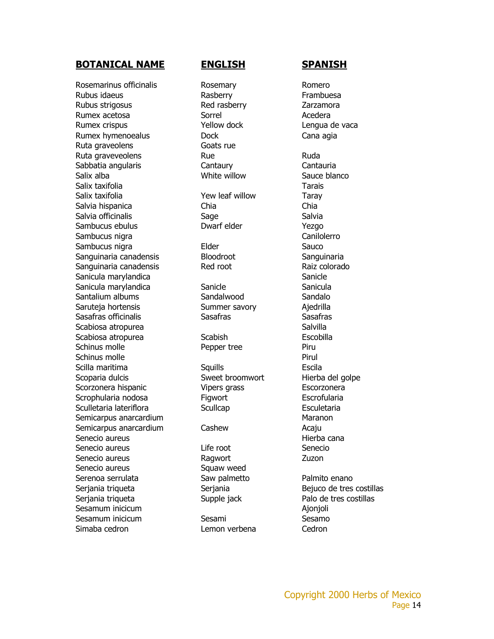Rosemarinus officinalis **Rosemary** Rosemary Romero Rubus idaeus **Exercise Exercise Rasberry** Frambuesa Rubus strigosus **Red rasberry Redesi**ng *Rubus* Strigosus Rumex acetosa **Sorrel** Sorrel Acedera Rumex crispus Yellow dock Lengua de vaca Rumex hymenoealus Dock Cana agia Ruta graveolens Goats rue Ruta graveveolens and Rue Ruda Ruda Sabbatia angularis Cantaury Cantauria Salix alba White willow Sauce blanco Salix taxifolia Tarais Salix taxifolia **Xalix in the Salix taxifolia** Vew leaf willow Taray Salvia hispanica Chia Chia Salvia officinalis Sage Salvia Salvia Sambucus ebulus Dwarf elder Yezgo Sambucus nigra **Canilolerro** Canilolerro Sambucus nigra **Elder** Elder Sauco Sanguinaria canadensis Bloodroot Sanguinaria Sanguinaria canadensis Red root Raiz colorado Sanicula marylandica **Sanicula Marylandica** Sanicle Sanicula marylandica Sanicle Sanicula Sanicula Santalium albums Sandalwood Sandalo Saruteja hortensis Summer savory Ajedrilla Sasafras officinalis Sasafras Sasafras Sasafras Sasafras Scabiosa atropurea eta espainiar eta espainiar eta Salvilla Scabiosa atropurea Scabish Escobilla Schinus molle **Pepper tree** Piru Schinus molle **Pirul** Scilla maritima Squills Escila Scoparia dulcis Sweet broomwort Hierba del golpe Scorzonera hispanic Vipers grass Escorzonera Scrophularia nodosa Figwort Escrofularia Sculletaria lateriflora Scullcap Esculetaria Semicarpus anarcardium and the state of the Maranon Semicarpus anarcardium Cashew Cashew Acaju Senecio aureus and announcement and a senecio aureus extensive extensive extensive extensive extensive extensive extensive extensive extensive extensive extensive extensive extensive extensive extensive extensive extensive Senecio aureus Life root Senecio Senecio aureus **Executed Executes** Ragwort **CONS** Zuzon Senecio aureus **Santana Squaw** weed Serenoa serrulata e composito Saw palmetto enano Palmito enano Serjania triqueta Serjania Serjania Bejuco de tres costillas Serjania triqueta Supple jack Palo de tres costillas Sesamum inicicum **Ajonioli** Ajonjoli Sesamum inicicum Sesami Sesamo Sesamo Simaba cedron Lemon verbena Cedron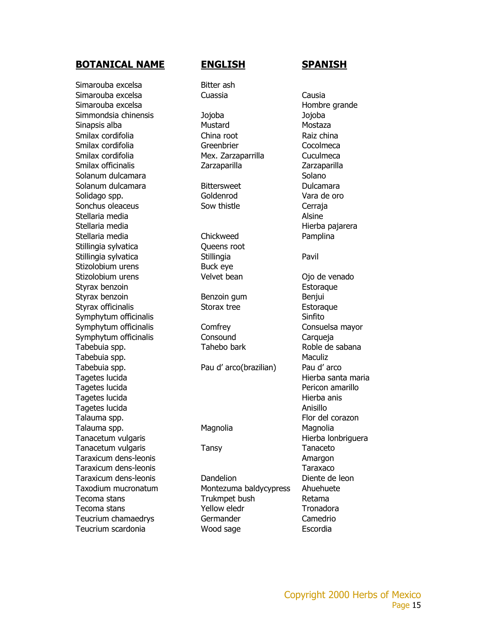Simarouba excelsa Bitter ash Simarouba excelsa Cuassia Causia Simarouba excelsa excelsa excelsa excelsa excelsa excelsa excelsa excelsa excelsa excelsa excelsa excelsa excels Simmondsia chinensis Jojoba Jojoba Sinapsis alba Mustard Mustard Mostaza Smilax cordifolia China root China Raiz china Smilax cordifolia Greenbrier Cocolmeca Smilax cordifolia **Mex.** Zarzaparrilla Cuculmeca Smilax officinalis Zarzaparilla Zarzaparilla Solanum dulcamara **Solano** Solano Solanum dulcamara Bittersweet Dulcamara Solidago spp. The Goldenrod Coldenrod Vara de oro Sonchus oleaceus **Sow thistle** Cerraja Stellaria media and a stellari and a stellari and a stellari and a stellari and a stellari and a stellari and a Stellaria media **Hierba pajarera** Stellaria media Chickweed Pamplina Stillingia sylvatica **Queens root** Stillingia sylvatica entra Stillingia Pavil Stizolobium urens Buck eye Stizolobium urens **Velvet bean** Ojo de venado Styrax benzoin et al. and the styrax benzoin et al. and the styrax et al. and the Estoraque Styrax benzoin **Benzoin** Benzoin gum Benjui Styrax officinalis Storax tree Estoraque Symphytum officinalis and the state of the Sinfito Symphytum officinalis Comfrey Consuelsa mayor Symphytum officinalis Consound Carqueja Tabebuia spp. Tahebo bark Roble de sabana Tabebuia spp. Maculiz Tabebuia spp. The Controller Pau d' arco(brazilian) Pau d' arco Tagetes lucida **Hierba santa maria** Tagetes lucida Pericon amarillo Tagetes lucida **Hierba anis** Tagetes lucida Anisillo Talauma spp. The contract of the contract of the contract of the Flor del corazon Talauma spp. **Magnolia** Magnolia Magnolia Magnolia Tanacetum vulgaris **Hierba lonbriguera** Tanacetum vulgaris Tansy Tanaceto Taraxicum dens-leonis Amargon Taraxicum dens-leonis Taraxaco

Taraxicum dens-leonis Dandelion Diente de leon Taxodium mucronatum Montezuma baldycypress Ahuehuete Tecoma stans Trukmpet bush Retama Tecoma stans Tecoma stans Teucrium chamaedrys Germander Camedrio Teucrium scardonia **Nood sage** Escordia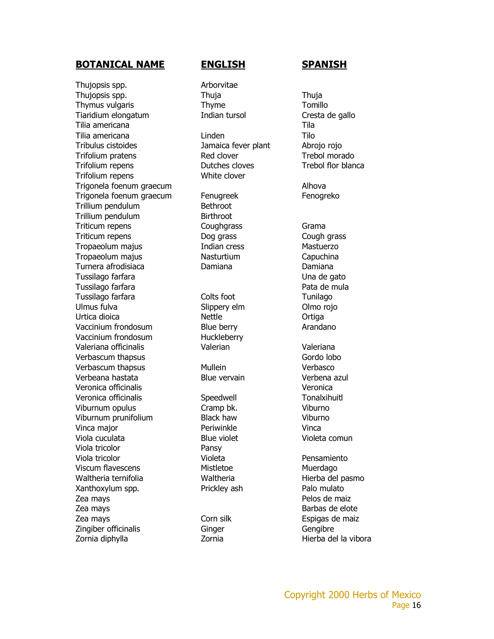Thujopsis spp. **Arborvitae** Thujopsis spp. Thuja Thuja Thuja Thuja Thymus vulgaris Thyme Tomillo Tiaridium elongatum Indian tursol Cresta de gallo Tilia americana Tila Tilia americana Linden Tilo Tribulus cistoides Jamaica fever plant Abrojo rojo Trifolium pratens Trebol morado Trifolium repens Dutches cloves Trebol flor blanca Trifolium repens White clover Trigonela foenum graecum **Alhova** Alhova Trigonela foenum graecum Fenugreek Fenogreko Trillium pendulum and Bethroot Trillium pendulum and Birthroot Triticum repens Coughgrass Grama Triticum repens Dog grass Cough grass Tropaeolum majus Indian cress Mastuerzo Tropaeolum majus Nasturtium Capuchina Turnera afrodisiaca Damiana Damiana Tussilago farfara di disebut di sebagai di sebagai di sebagai di banyak di Una de gato Tussilago farfara **Pata de mula** Tussilago farfara **Tunilago** Colts foot Tunilago Ulmus fulva Slippery elm Olmo rojo Urtica dioica and a nettle and a new Ortiga Vaccinium frondosum Blue berry Blue Arandano Vaccinium frondosum Huckleberry Valeriana officinalis Valerian Valeriana Verbascum thapsus Gordo lobo Verbascum thapsus **Mullein** Verbasco Verbeana hastata Blue vervain Verbena azul Veronica officinalis Veronica Veronica officinalis Speedwell Tonalxihuitl Viburnum opulus Cramp bk. Viburno Viburnum prunifolium Black haw Viburno Vinca major **Periwinkle** Vinca Viola cuculata Blue violet Violeta comun Viola tricolor Pansy Viola tricolor Violeta Pensamiento Viscum flavescens **Mistletoe** Mistletoe Muerdago Waltheria ternifolia alla merupakan waltheria allah entity Hierba del pasmo Xanthoxylum spp. The Prickley ash Palo mulato Zea mays **Pelos** de maiz Zea mays **Barbas de elote** electronic extensive extended to the Barbas de elote Zea mays **Corn** silk Espigas de maiz Zingiber officinalis Ginger Gengibre Zornia diphylla **Zornia** Zornia Hierba del la vibora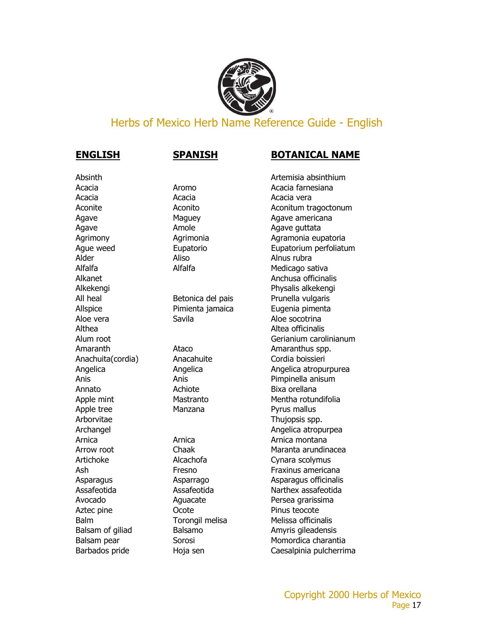

### Herbs of Mexico Herb Name Reference Guide - English

# Acacia Acacia Acacia vera Agave **Agave Agave Agave Agave Agave Agave Agave Agave Agave Agave Agave Agave Agave Agave Agave Agave Agave Agave Agave Agave Agave Agave Agave Agave Agave Agave Agave Agave Agave Agave Agave Agave Agave Agave Agave Agave** Alder **Aliso** Aliso **Aliso** Alnus rubra Aloe vera Savila Aloe socotrina Annato **Achiote** Achiote **Bixa orellana** Apple tree **Manzana** Pyrus mallus Arborvitae Thujopsis spp. Aztec pine **COOL** Ocote **Pinus teocote**

### **ENGLISH SPANISH BOTANICAL NAME**

Absinth Artemisia absinthium Acacia **Aromo** Aromo **Acacia farnesiana** Aconite **Aconitive Aconitive Aconitive Aconitive Aconitive Aconitive Aconitive Aconitive Aconitive Aconitive Aconitive Aconitive Aconitive Aconitive Aconitive Aconitive Aconitive Aconitive Aconitive Aconitive Aconitive Aco** Agave Maguey Maguey Agave americana Agrimony Magrimonia Agrimonia Agramonia eupatoria Ague weed Eupatorio Eupatorium perfoliatum Alfalfa Medicago sativa Alkanet Alkanet Anchusa officinalis Alkekengi Physalis alkekengi All heal Betonica del pais Prunella vulgaris Allspice Pimienta jamaica Eugenia pimenta Althea **Althea** Altea officinalis Alum root Gerianium carolinianum Amaranth Ataco Amaranthus spp. Anachuita(cordia) Anacahuite Cordia boissieri Angelica Angelica Angelica atropurpurea Anis Anis Pimpinella anisum Apple mint Mastranto Mentha rotundifolia Archangel **Angelica** atropurpea Arnica Arnica Arnica montana Arrow root **Chaak** Chaak Maranta arundinacea Artichoke Alcachofa Cynara scolymus Ash **Fresno** Fresno **Fraxinus americana** Asparagus Asparrago Asparagus officinalis Assafeotida Assafeotida Narthex assafeotida Avocado **Aguacate Aguacate** Persea grarissima Balm Torongil melisa Melissa officinalis Balsam of giliad Balsamo Balsamo Amyris gileadensis Balsam pear **Sorosi** Sorosi Momordica charantia Barbados pride **Hoja sen** Caesalpinia pulcherrima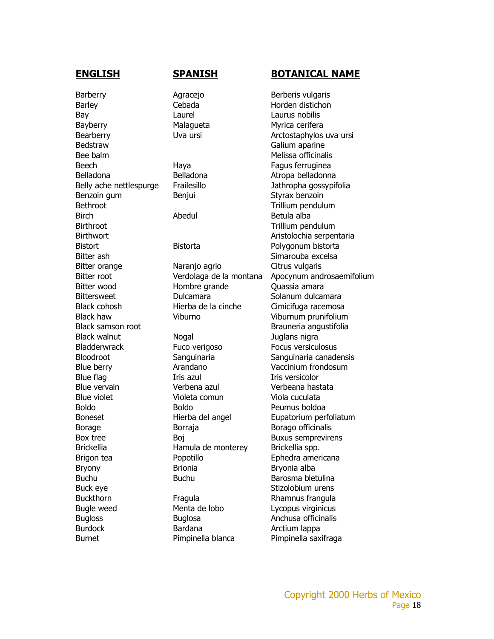Barberry **Agracejo** Agracejo Berberis vulgaris Barley Cebada Horden distichon Bay **Laurel** Laurel Laurus nobilis Bayberry Malaqueta Myrica cerifera Bedstraw Galium aparine Bee balm and the state of the Melissa officinalis Beech Haya Haya Fagus ferruginea Belladona Belladona Belladona Atropa belladonna Benzoin gum Benjui Bentang Styrax benzoin Bethroot **Trillium** pendulum Birch Abedul Betula alba Birthroot **Trillium** pendulum Bitter ash Simarouba excelsa Bugloss Buglosa **Buglosa** Anchusa officinalis Burdock **Bardana** Bardana **Arctium lappa** Burnet Pimpinella blanca Pimpinella saxifraga

Bitter orange **Naranjo agrio** Citrus vulgaris Bitter wood **Hombre grande** Quassia amara Bittersweet Dulcamara Solanum dulcamara Black cohosh Hierba de la cinche Cimicifuga racemosa

Black walnut **Nogal** Nogal **Internal Markow** Black walnut Bladderwrack Fuco verigoso Focus versiculosus Blue flag This azul Iris versicolor Blue vervain Verbena azul Verbeana hastata Blue violet Violeta comun Viola cuculata Boldo Boldo Peumus boldoa Borage Borraja Borraja Borago officinalis Brickellia **Hamula de monterey** Brickellia spp. Bryony Brionia Brionia Bryonia alba Buchu Buchu Barosma bletulina Buck eye **Stizolobium** urens Buckthorn **Fragula** Fragula Rhamnus frangula Bugle weed Menta de lobo Lycopus virginicus

### **ENGLISH SPANISH BOTANICAL NAME**

Bearberry **IV** Uva ursi **Arctostaphylos uva ursi** Belly ache nettlespurge Frailesillo Frailesillo Jathropha gossypifolia Birthwort **Aristolochia** serpentaria Bistort Bistorta Bistorta **Polygonum bistorta** Bitter root Verdolaga de la montana Apocynum androsaemifolium Black haw Viburno Viburnum prunifolium Black samson root and be a set of the Brauneria angustifolia Bloodroot Sanguinaria Sanguinaria canadensis Blue berry **Arandano** Vaccinium frondosum Boneset **Hierba del angel** Eupatorium perfoliatum Box tree Boj Boj Buxus semprevirens Brigon tea **Popotillo** Popotillo Ephedra americana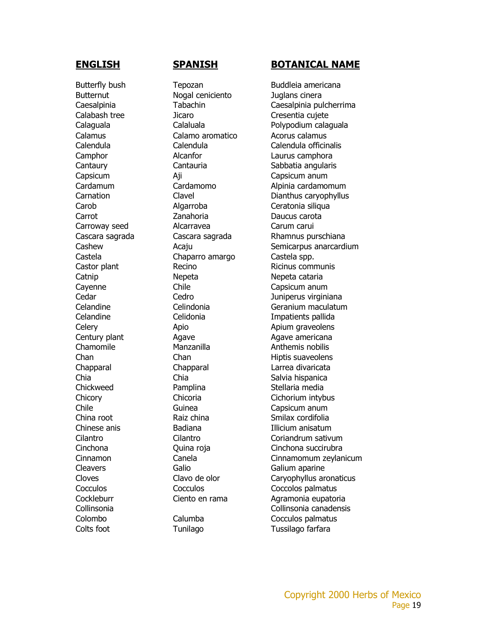Colts foot Tunilago Tussilago farfara

Butternut Nogal ceniciento Juglans cinera Calamus Calamo aromatico Calamus Calamus Capsicum Aji Capsicum anum Carrot Zanahoria Daucus carota Carroway seed Alcarravea Carum carui Castela Chaparro amargo Castela spp. Catnip Nepeta Nepeta cataria Cayenne Chile Capsicum anum Chia Chia Chia Chia Salvia hispanica Chickweed Pamplina Stellaria media Chile Guinea Capsicum anum Cleavers Galio Galium aparine

### **ENGLISH SPANISH BOTANICAL NAME**

Butterfly bush Tepozan Buddleia americana Caesalpinia Tabachin Caesalpinia pulcherrima Calabash tree Jicaro Cresentia cujete Calaguala Calaluala Polypodium calaguala Calendula Calendula Calendula officinalis Camphor Alcanfor Laurus camphora Cantaury Cantauria Sabbatia angularis Cardamum Cardamomo Alpinia cardamomum Carnation Clavel Clavel Dianthus caryophyllus Carob Algarroba Ceratonia siliqua Cascara sagrada Cascara sagrada Rhamnus purschiana Cashew **Acaju** Acaju Semicarpus anarcardium Castor plant **Recino** Recino Ricinus communis Cedar Cedro Juniperus virginiana Celandine Celindonia Geranium maculatum Celandine Celidonia Impatients pallida Celery **Apio** Apio **Apio** Apium graveolens Century plant **Agave** Agave **Agave Agave americana** Chamomile Manzanilla Manzani Manzani Manzani Manzani Mandria Anthemis nobilis Chan Chan Chan Hiptis suaveolens Chapparal Chapparal Larrea divaricata Chicory Chicoria Cichorium intybus China root **Raiz china** Smilax cordifolia Chinese anis **Illicium anisatum** Badiana **Illicium anisatum** Cilantro Cilantro Coriandrum sativum Cinchona Quina roja Cinchona succirubra Cinnamon Canela Cinnamomum zeylanicum Cloves Clavo de olor Caryophyllus aronaticus Cocculos Cocculos Coccolos palmatus Cockleburr Ciento en rama Agramonia eupatoria Collinsonia Collinsonia canadensis Colombo Calumba Cocculos palmatus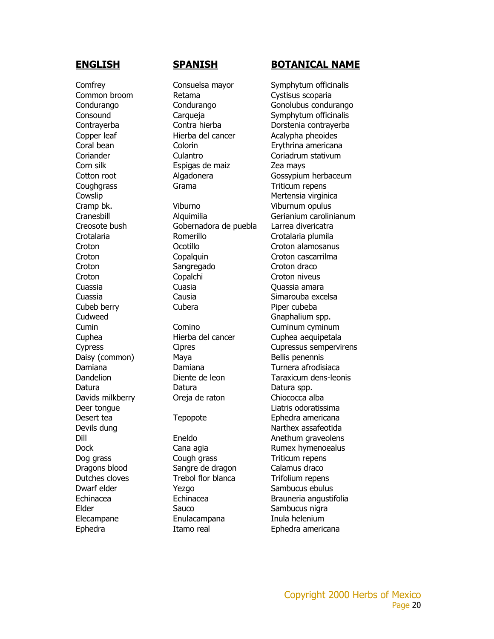Elder Sauco Sauco Sambucus nigra Elecampane Enulacampana Inula helenium Ephedra **Itamo real** Ephedra americana

Common broom Retama Cystisus scoparia Copper leaf Hierba del cancer Acalypha pheoides Coral bean Colorin Erythrina americana Coriander Culantro Coriadrum stativum Corn silk Espigas de maiz Zea mays Coughgrass Grama Triticum repens Cowslip Cowsline Cowsline Cowsline Cowsline Cowsline Cowsline Cowsline Cowsline Cowsline Cowsline Cowsline Cows Cramp bk. Viburno Viburnum opulus Creosote bush Gobernadora de puebla Larrea divericatra Crotalaria Romerillo Crotalaria plumila Croton Ocotillo Croton alamosanus Croton Copalquin Croton cascarrilma Croton Sangregado Croton draco Croton Copalchi Croton niveus Cuassia Cuasia Quassia amara Cuassia Causia Causia Causia Simarouba excelsa Cubeb berry Cubera **Cubera** Piper cubeba Cudweed Gnaphalium spp. Cumin Comino Cuminum cyminum Cuphea Hierba del cancer Cuphea aequipetala Daisy (common) Maya Bellis penennis Damiana Damiana Turnera afrodisiaca Datura Datura Datura spp. Davids milkberry Oreja de raton Chiococca alba Deer tongue **Liatric Community** Constants Community Constants Community Community Community Community Community Community Community Community Community Community Community Community Community Community Community Community Desert tea **Tepopote** Ephedra americana Devils dung Narthex assafeotida Dog grass Cough grass Triticum repens Dragons blood Sangre de dragon Calamus draco Dutches cloves Trebol flor blanca Trifolium repens Dwarf elder The Yezgo News Sambucus ebulus

### **ENGLISH SPANISH BOTANICAL NAME**

Comfrey Consuelsa mayor Symphytum officinalis Condurango Condurango Gonolubus condurango Consound Carqueja Symphytum officinalis Contrayerba Contra hierba Dorstenia contrayerba Cotton root **Algadonera** Gossypium herbaceum Cranesbill Alquimilia Gerianium carolinianum Cypress Cipres Cupressus sempervirens Dandelion Diente de leon Taraxicum dens-leonis Dill Eneldo Anethum graveolens Dock Cana agia Rumex hymenoealus Echinacea Echinacea Brauneria angustifolia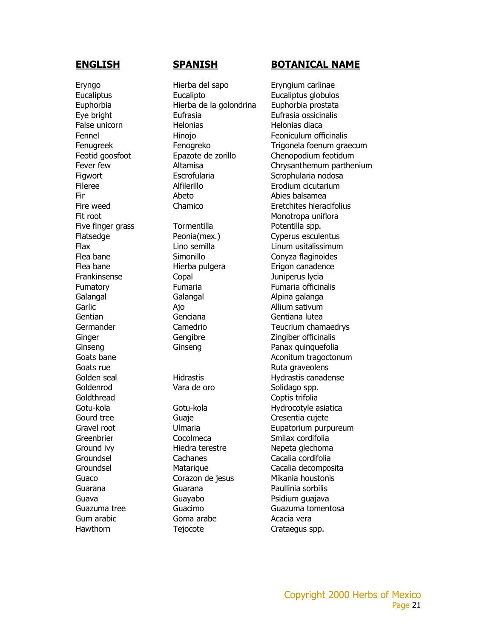Eryngo Hierba del sapo Eryngium carlinae Hawthorn Tejocote Crataegus spp.

Eucaliptus Eucalipto Eucaliptus globulos Euphorbia Hierba de la golondrina Euphorbia prostata Eye bright Eufrasia Eufrasia ossicinalis False unicorn **Helonias** Helonias Helonias diaca Fileree Alfilerillo Erodium cicutarium Fir Abeto Abies balsamea Fit root and the matter of the Monotropa unifloral methods of the Monotropa unifloral Five finger grass Tormentilla and Botentilla spp. Flatsedge **Peonia(mex.)** Cyperus esculentus Flea bane Simonillo Conyza flaginoides Flea bane **Hierba pulgera** Erigon canadence Frankinsense Copal Juniperus lycia Fumatory Fumaria Fumaria officinalis Galangal Galangal Galangal Alpina galanga Garlic **Ajo** Ajo **Allium sativum** Gentian Genciana Gentiana lutea Ginger Gengibre Zingiber officinalis Ginseng Ginseng Ginseng Panax quinquefolia Goats rue **Goats** rue **Ruta graveolens** Goldenrod Vara de oro Solidago spp. Goldthread Coptis trifolia Gourd tree **Guaje** Guaje **Cresentia cujete** Greenbrier Cocolmeca Commercial Smilax cordifolia Ground ivy **Hiedra terestre** Nepeta glechoma Groundsel Cachanes Cacalia cordifolia Guaco Corazon de jesus Mikania houstonis Guarana Guarana Paullinia sorbilis Guava Guavabo Psidium guajava Gum arabic **Goma** arabe **Acacia** vera

### **ENGLISH SPANISH BOTANICAL NAME**

Fennel Hinojo Feoniculum officinalis Fenugreek Fenogreko Trigonela foenum graecum Feotid goosfoot **Epazote de zorillo** Chenopodium feotidum Fever few Altamisa Chrysanthemum parthenium Figwort Escrofularia Scrophularia nodosa Fire weed Chamico Eretchites hieracifolius Flax Lino semilla Linum usitalissimum Germander Camedrio Camedrio Teucrium chamaedrys Goats bane **Aconitum** tragoctonum Golden seal **Hidrastis** Hydrastis Canadense Gotu-kola Gotu-kola Hydrocotyle asiatica Gravel root Ulmaria Eupatorium purpureum Groundsel Matarique Cacalia decomposita Guazuma tree Guacimo Guazuma tomentosa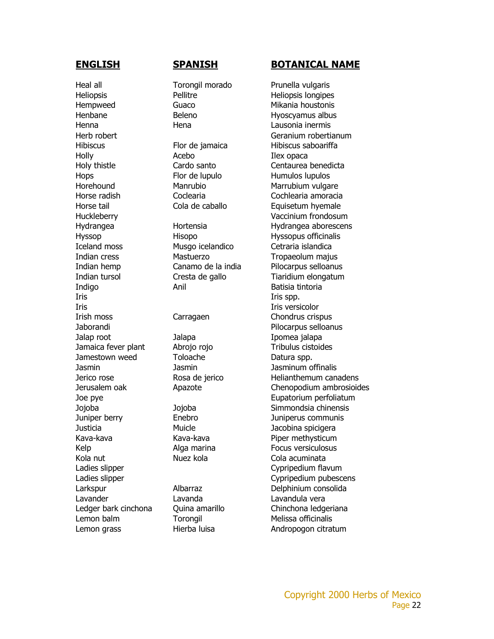Heal all **Torongil morado** Prunella vulgaris Heliopsis Pellitre Heliopsis longipes Hempweed Guaco Mikania houstonis Henbane Beleno Hyoscyamus albus Henna Hena Lausonia inermis Holly **Acebo** Ilex opaca Hops Flor de lupulo Humulos lupulos Iceland moss Musgo icelandico Cetraria islandica Indigo Anil Anil Batisia tintoria Iris Iris spp. Iris Iris versicolor Irish moss Carragaen Carragaen Chondrus crispus Jalap root Jalapa Ipomea jalapa Jamaica fever plant  $\overline{a}$  Abrojo rojo  $\overline{a}$  Tribulus cistoides Jamestown weed Toloache Datura spp. Jasmin Jasmin Jasminum offinalis Justicia Muicle Jacobina spicigera Kola nut **Nuez kola** Nuez kola Cola acuminata Lavander Lavanda Lavandula vera Lemon balm **Torongil** Torongil Melissa officinalis

### **ENGLISH SPANISH BOTANICAL NAME**

Herb robert Geranium robertianum Hibiscus Flor de jamaica Hibiscus saboariffa Holy thistle Cardo santo Centaurea benedicta Horehound Manrubio Manrubium vulgare Horse radish Coclearia Cochlearia amoracia Horse tail **Equisetum** hyemale Cola de caballo **Equisetum** hyemale Huckleberry Vaccinium frondosum Hydrangea Hortensia Hydrangea aborescens Hyssop Hisopo Hisopo Hyssopus officinalis Indian cress **Mastuerzo** Mastuerzo Tropaeolum majus Indian hemp Canamo de la india Pilocarpus selloanus Indian tursol Cresta de gallo Tiaridium elongatum Jaborandi Pilocarpus selloanus Jerico rose **Rosa de jerico** Helianthemum canadens Jerusalem oak Apazote Chenopodium ambrosioides Joe pye **Eupatorium** perfoliatum Jojoba Jojoba Simmondsia chinensis Juniper berry Enebro Juniperus communis Kava-kava Kava-kava Piper methysticum Kelp **Alga marina** Focus versiculosus Ladies slipper Cypripedium flavum Ladies slipper and the control of the Cypripedium pubescens Larkspur Albarraz Delphinium consolida Ledger bark cinchona Quina amarillo Chinchona ledgeriana Lemon grass **Hierba luisa** Andropogon citratum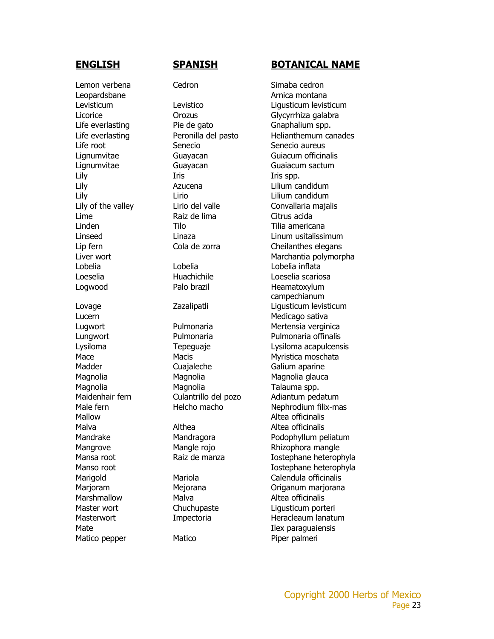Lemon verbena Cedron Cedron Simaba cedron Matico pepper Matico Piper palmeri

Leopardsbane **Arnica** montana Life everlasting Pie de gato Gnaphalium spp. Life root Senecio Senecio aureus Lignumvitae Guayacan Guaiacum sactum Lily Iris Iris Iris Iris Spp. Lily Azucena Lilium candidum Lily Lirio Lilium candidum Lime Raiz de lima Citrus acida Linden Tilo Tilia americana Lobelia Lobelia Lobelia inflata Loeselia Huachichile Loeselia scariosa Logwood Palo brazil Palo Heamatoxylum Lucern **Medicago** sativa Madder Cuajaleche Galium aparine Magnolia Magnolia Magnolia glauca Magnolia Magnolia Talauma spp. Mallow **Alter and Altea officinalis** Malva **Althea** Althea **Althea** Altea officinalis Marshmallow Malva Malva Altea officinalis

### **ENGLISH SPANISH BOTANICAL NAME**

Levisticum Levistico Ligusticum levisticum Licorice **Contracts** Orozus **Glycyrrhiza galabra** Life everlasting **Peronilla del pasto** Helianthemum canades Lignumvitae Guayacan Guiacum officinalis Lily of the valley Lirio del valle Convallaria majalis Linseed Linaza Linum usitalissimum Lip fern Cola de zorra Cheilanthes elegans Liver wort Marchantia polymorpha campechianum Lovage Zazalipatli Ligusticum levisticum Lugwort Pulmonaria Mertensia verginica Lungwort Pulmonaria Pulmonaria offinalis Lysiloma Tepeguaje Lysiloma acapulcensis Mace Macis Macis Myristica moschata Maidenhair fern Culantrillo del pozo Adiantum pedatum Male fern Helcho macho Nephrodium filix-mas Mandrake Mandragora Podophyllum peliatum Mangrove Mangle rojo Rhizophora mangle Mansa root **Raiz de manza** Iostephane heterophyla Manso root and a second in the Intervention of Tostephane heterophyla Marigold Mariola Calendula officinalis Marjoram Mejorana Driganum marjorana Master wort **Chuchupaste** Liqusticum porteri Masterwort **Impectoria** Impectoria Heracleaum lanatum Mate Ilex paraquaiensis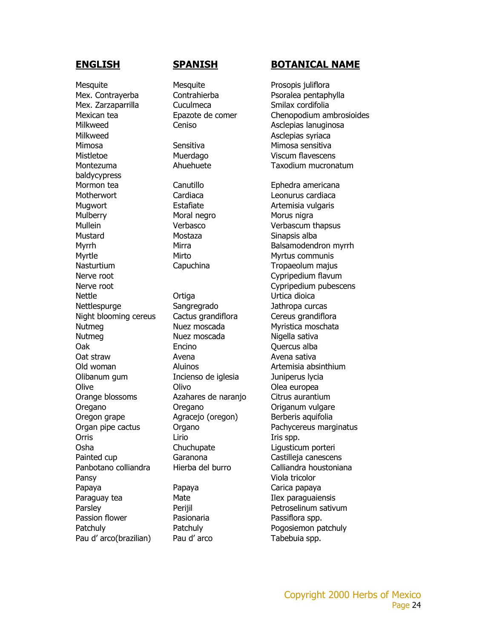Mesquite Mesquite Mesquite Prosopis juliflora Mex. Contrayerba Contrahierba Psoralea pentaphylla Mex. Zarzaparrilla Cuculmeca Smilax cordifolia Milkweed Ceniso Center Asclepias lanuginosa Milkweed **Asclepias syriaca** Mimosa Sensitiva Mimosa sensitiva Mistletoe Muerdago Viscum flavescens Montezuma baldycypress Mormon tea Canutillo Ephedra americana Motherwort Cardiaca Leonurus cardiaca Mugwort **Estafiate** Estafiate Artemisia vulgaris Mulberry Moral negro Morus nigra Mullein Verbasco Verbascum thapsus Mustard Mostaza Sinapsis alba Myrtle Mirto Mirto Myrtus communis Nasturtium Capuchina Capuchina Tropaeolum majus Nerve root and the contract of the Cypripedium flavum Nettle **Nettle** Ortiga **Urtica** dioica Nettlespurge Sangregrado Jathropa curcas Night blooming cereus Cactus grandiflora Cereus grandiflora Nutmeg Nuez moscada Myristica moschata Nutmeg Nuez moscada Nigella sativa Oak Encino Quercus alba Oat straw Avena Avena sativa Old woman Aluinos Artemisia absinthium Olibanum gum Incienso de iglesia Juniperus lycia Olive Olivo Olivo Olea europea Orange blossoms Azahares de naranjo Citrus aurantium Oregano Oregano Origanum vulgare Oregon grape **Agracejo** (oregon) Berberis aquifolia Orris Lirio Lirio Iris spp. Osha Chuchupate Ligusticum porteri Painted cup **Garanona** Castilleja canescens Pansy Viola tricolor Papaya Papaya Papaya Carica papaya Paraguay tea **Ilex paraguaiensis** Mate **Ilex paraguaiensis** Passion flower **Pasionaria** Pasionaria Passiflora spp. Pau d'arco(brazilian) Pau d'arco Tabebuia spp.

### **ENGLISH SPANISH BOTANICAL NAME**

Mexican tea Epazote de comer Chenopodium ambrosioides Ahuehuete Taxodium mucronatum Myrrh Mirra Mirra Balsamodendron myrrh Nerve root Cypripedium pubescens Organ pipe cactus Organo Pachycereus marginatus Panbotano colliandra Hierba del burro Calliandra houstoniana Parsley Perijil Petroselinum sativum Patchuly Patchuly Patchuly Pogosiemon patchuly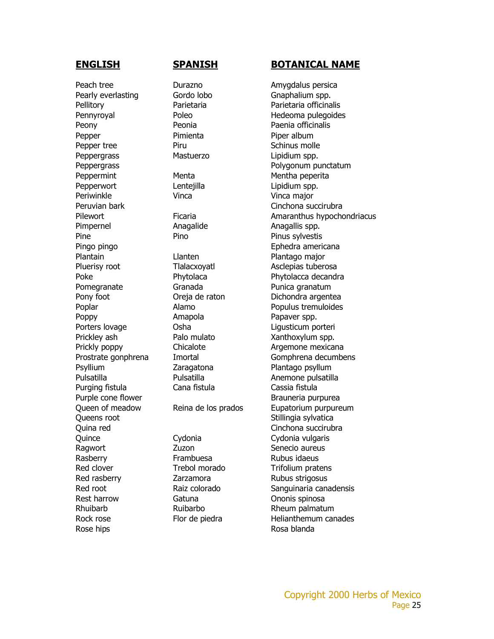Peach tree **Durazno** Durazno **Amygdalus persica** Pearly everlasting Gordo lobo Gnaphalium spp. Peony Peonia Peonia Peonia Paenia officinalis Pepper Pimienta Pimienta Piper album Pepper tree Piru Piru Schinus molle Peppergrass Mastuerzo Lipidium spp. Peppermint Menta Menta Mentha peperita Pepperwort **Lentejilla** Lipidium spp. Periwinkle Vinca Vinca major Pimpernel **Anagalide** Anagalis spp. Pine Pino Pino Pinus sylvestis Plantain Llanten Plantago major Pluerisy root Tlalacxoyatl Asclepias tuberosa Pomegranate Granada Punica granatum Poppy **Prophy** Amapola Papaver spp. Porters lovage **Communists** Osha **Communists** Communist Ligusticum porteri Prickley ash **Palo mulato** Xanthoxylum spp. Psyllium Zaragatona Plantago psyllum Purging fistula Cana fistula Cassia fistula Queens root and Stillingia sylvatica Quince Cydonia Cydonia vulgaris Ragwort Zuzon Zuzon Senecio aureus Rasberry **Frambuesa** Frambuesa Rubus idaeus Red clover **Trebol morado** Trifolium pratens Red rasberry **Example 2** Zarzamora **Rubus Strigosus** Rest harrow **Gatuna** Gatuna **Communis** Chonis spinosa Rhuibarb Ruibarbo Ruibarbo Rheum palmatum Rose hips **Rose** hips **Rose** blanda

### **ENGLISH SPANISH BOTANICAL NAME**

Pellitory **Parietaria** Parietaria Parietaria Parietaria officinalis Pennyroyal Poleo Poleo Hedeoma pulegoides Peppergrass Polygonum punctatum Peruvian bark Cinchona succirubra Pilewort **Ficaria** Ficaria Amaranthus hypochondriacus Pingo pingo **Ephedra americana** Poke **Phytolaca** Phytolaca Phytolacca decandra Pony foot **Digeler Contract Oreja de raton** Dichondra argentea Poplar **Populus tremuloides Alamo Populus tremuloides** Prickly poppy **Chicalote Argemone mexicana** Prostrate gonphrena Imortal Gomphrena decumbens Pulsatilla Pulsatilla Pulsatilla Anemone pulsatilla Purple cone flower and the Brauneria purpurea Queen of meadow Reina de los prados Eupatorium purpureum Quina red Cinchona succirubra Red root **Raiz colorado** Sanguinaria canadensis Rock rose **Flor de piedra** Helianthemum canades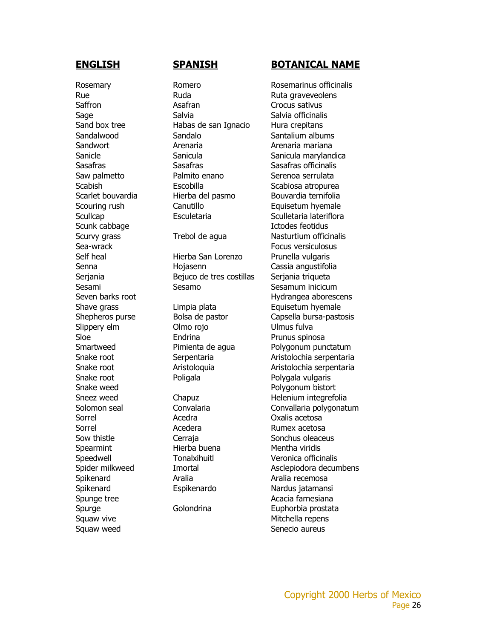Scunk cabbage **Ictodes feotidus** Sorrel Acedra Acedra Oxalis acetosa Sorrel **Acedera** Acedera Rumex acetosa Spearmint Hierba buena Mentha viridis Spikenard Aralia Aralia recemosa Squaw vive **Mitchella** repens Squaw weed Squaw weed Senecio aureus

Rue Ruda Ruda Ruta graveveolens Saffron Asafran Crocus sativus Sage Salvia Salvia Salvia Salvia Salvia officinalis Sand box tree **Habas de san Ignacio** Hura crepitans Sandalwood Sandalo Santalium albums Sandwort Arenaria Arenaria mariana Sasafras Sasafras Sasafras officinalis Saw palmetto **Palmito enano** Serenoa serrulata Scabish Escobilla Scabiosa atropurea Scarlet bouvardia electriche Hierba del pasmo bouvardia ternifolia Scouring rush Canutillo **Canutillo** Equisetum hyemale

Self heal Hierba San Lorenzo Prunella vulgaris Senna Hojasenn Cassia angustifolia Serjania Bejuco de tres costillas Serjania triqueta Sesami Sesamo Sesamo Sesamum inicicum

Slippery elm **Olmo** rojo Ulmus fulva Sloe **Endrina** Prunus spinosa Snake root Poligala Poligala Polygala vulgaris

### **ENGLISH SPANISH BOTANICAL NAME**

Rosemary **Romero** Romero Rosemarinus officinalis Sanicle Sanicula Sanicula marylandica Scullcap **Esculetaria** Esculetaria Sculletaria lateriflora Scurvy grass Trebol de agua Nasturtium officinalis Sea-wrack Focus versiculosus Seven barks root and the Hydrangea aborescens Shave grass **Example 2** Limpia plata **Equisetum hyemale** Shepheros purse **Bolsa de pastor** Capsella bursa-pastosis Smartweed Pimienta de agua Polygonum punctatum Snake root Serpentaria and Serpentaria and Serpentaria Snake root **Aristologuia** Aristologuia Aristolochia serpentaria Snake weed **Polygonum bistort** Sneez weed Chapuz Chapuz Helenium integrefolia Solomon seal Convalaria Convallaria polygonatum Sow thistle **Soutify** Cerraja Cerragan Cerraga Sonchus oleaceus Speedwell Tonalxihuitl Veronica officinalis Spider milkweed Imortal Asclepiodora decumbens Spikenard Espikenardo Nardus jatamansi Spunge tree Acacia farnesiana Spurge Golondrina Euphorbia prostata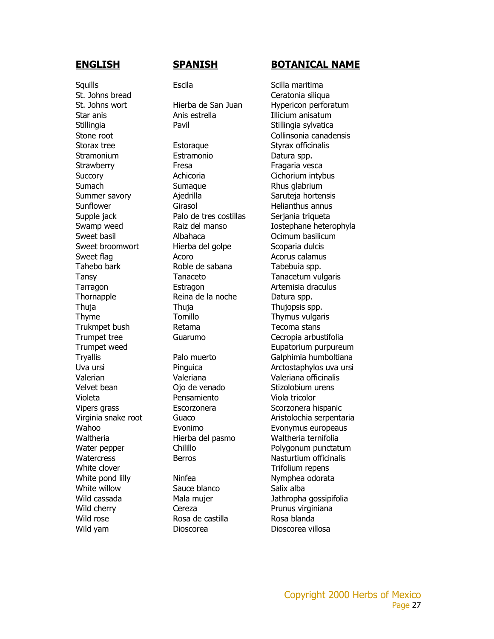Squills **Saulls** Escila **Escila** Scilla maritima St. Johns bread Ceratonia siliqua Stramonium Estramonio Datura spp. White clover **Trifolium** repens White pond lilly Ninfea Nymphea odorata White willow Sauce blanco Salix alba Wild cherry **Cereza** Prunus virginiana Wild rose **Rosa de castilla** Rosa blanda Wild yam **Dioscorea** Dioscorea Dioscorea villosa

Star anis **Anis estrella** Illicium anisatum Stillingia Pavil Pavil Stillingia sylvatica Storax tree **Estoraque** Estorague Styrax officinalis

Strawberry **Fresa** Fresa Fragaria vesca Succory **Achicoria** Achicoria Cichorium intybus Sumach Sumaque Rhus glabrium Summer savory **Ajedrilla** Saruteja hortensis Sunflower Girasol Girasol Helianthus annus Supple jack **Palo de tres costillas** Serjania triqueta Sweet basil **Albahaca Communists** Ocimum basilicum Sweet broomwort Hierba del golpe Scoparia dulcis Sweet flag **Acoro** Acoro **Acoro Acorus calamus** Tahebo bark Roble de sabana Tabebuia spp. Tansy Tanaceto Tanacetum vulgaris Tarragon Estragon Estragon Artemisia draculus Thornapple Reina de la noche Datura spp. Thuja Thuja Thujopsis spp. Thyme Tomillo Tomillo Thymus vulgaris Trukmpet bush **Retama** Retama Tecoma stans Valerian Valeriana Valeriana officinalis Velvet bean Ojo de venado Stizolobium urens Violeta Pensamiento Viola tricolor Waltheria **Hierba del pasmo** Waltheria ternifolia

### **ENGLISH SPANISH BOTANICAL NAME**

St. Johns wort **Hierba de San Juan** Hypericon perforatum Stone root and a store collinsonia canadensis Swamp weed **Raiz del manso** Iostephane heterophyla Trumpet tree Guarumo Cecropia arbustifolia Trumpet weed Eupatorium purpureum Tryallis Palo muerto Galphimia humboltiana Uva ursi **Pinguica** Pinguica Arctostaphylos uva ursi Vipers grass **Escorzonera** Scorzonera hispanic Virginia snake root Guaco Bushin and Aristolochia serpentaria Wahoo **Evonimo** Evonymus europeaus Water pepper Chilillo Polygonum punctatum Watercress Berros Berros Nasturtium officinalis Wild cassada **Mala mujer** Mala mujer Jathropha gossipifolia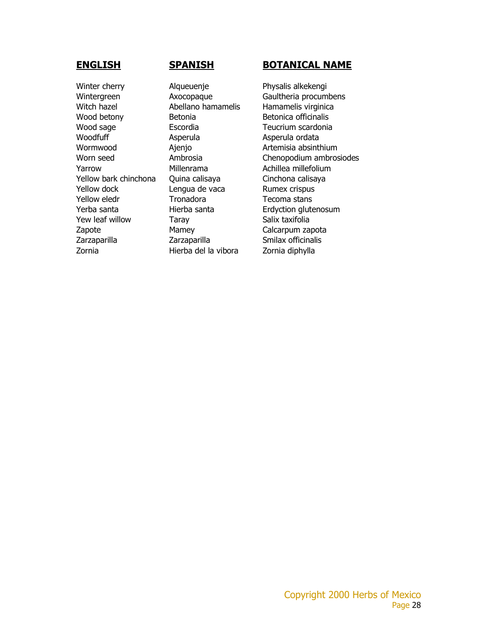Winter cherry **Alqueuenje** Physalis alkekengi Witch hazel **Abellano hamamelis** Hamamelis virginica Wood betony **Betonia** Betonica officinalis Wood sage Escordia Teucrium scardonia Woodfuff Managemula Asperula Asperula Asperula Asperula ordata Wormwood **Ajenjo** Artemisia absinthium Yarrow Millenrama Achillea millefolium Yellow bark chinchona Quina calisaya Cinchona calisaya Yellow dock **Lengua de vaca** Rumex crispus Yellow eledr Tronadora Tecoma stans Yew leaf willow Taray Taray Salix taxifolia Zapote Mamey Calcarpum zapota Zarzaparilla Zarzaparilla Smilax officinalis Zornia Hierba del la vibora Zornia diphylla

### **ENGLISH SPANISH BOTANICAL NAME**

Wintergreen **Axocopaque** Gaultheria procumbens Worn seed Ambrosia Chenopodium ambrosiodes Yerba santa Hierba santa Erdyction glutenosum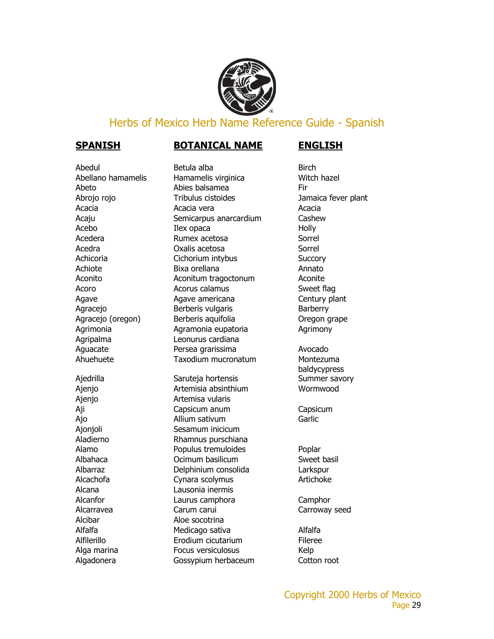

### Herbs of Mexico Herb Name Reference Guide - Spanish

### **SPANISH BOTANICAL NAME ENGLISH**

Abedul Betula alba Birch Ajenjo Artemisa vularis Alcana Lausonia inermis Alcibar Aloe socotrina

Abellano hamamelis Hamamelis virginica Witch hazel Abeto Abies balsamea Fir Abrojo rojo **Tribulus cistoides** Jamaica fever plant Acacia de Acacia vera de Acacia vera de Acacia de Acacia de Acacia de Acacia de Acacia de Acacia de Acacia de Acaju Semicarpus anarcardium Cashew Acebo Ilex opaca Ilex opaca Acedera **Rumex acetosa** Sorrel Acedra Coxalis acetosa Coxalis acetosa Sorrel Achicoria Cichorium intybus Succory Achiote Bixa orellana Annato Aconito **Aconitum tragoctonum** Aconite Acoro **Acorus calamus** Acorus Calamus Sweet flag Agave Agave americana Century plant Agracejo Berberis vulgaris Barberry Agracejo (oregon) Berberis aquifolia Cregon grape Agrimonia Agramonia eupatoria Agrimony Agripalma Leonurus cardiana Aguacate Persea grarissima Avocado Ahuehuete Taxodium mucronatum Montezuma

Ajedrilla Saruteja hortensis Summer savory Ajenjo Artemisia absinthium Wormwood Aji Capsicum anum Capsicum Ajo **Allium sativum** Allium sativum Ajonjoli Sesamum inicicum Aladierno Rhamnus purschiana Alamo **Populus tremuloides** Poplar Albahaca Ocimum basilicum Sweet basil Albarraz Delphinium consolida Larkspur Alcachofa Cynara scolymus Artichoke Alcanfor Laurus camphora Camphor Alcarravea Carum carui Carum carui Carroway seed Alfalfa Medicago sativa Alfalfa Alfilerillo Erodium cicutarium Fileree Alga marina **Focus versiculosus** Kelp Algadonera Gossypium herbaceum Cotton root

baldycypress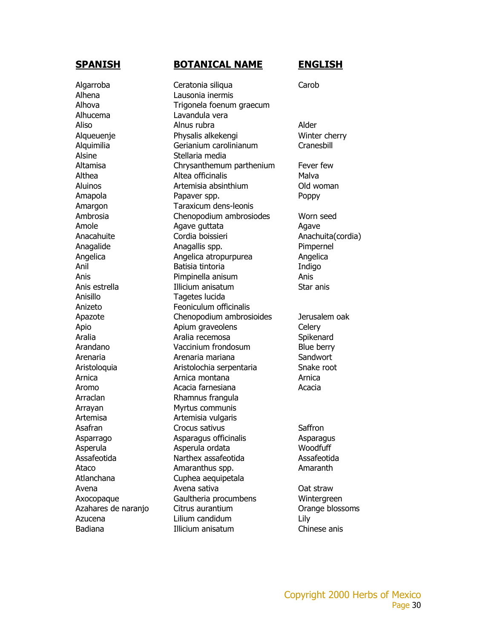Algarroba Ceratonia siliqua Carob Alhena Lausonia inermis Alhucema Lavandula vera Alsine Stellaria media Anisillo Tagetes lucida Anizeto Feoniculum officinalis Arraclan Rhamnus frangula Arrayan Myrtus communis Artemisa Artemisia vulgaris Atlanchana Cuphea aequipetala Azucena Lilium candidum Lily Badiana Illicium anisatum Chinese anis

### **SPANISH BOTANICAL NAME ENGLISH**

### Alhova Trigonela foenum graecum Aliso Alnus rubra and Alder Alqueuenje Physalis alkekengi Winter cherry Alquimilia Gerianium carolinianum Cranesbill Altamisa Chrysanthemum parthenium Fever few Althea **Altea officinalis** Malva Aluinos Artemisia absinthium Old woman Amapola Papaver spp. Poppy Amargon Taraxicum dens-leonis Ambrosia Chenopodium ambrosiodes Worn seed Amole **Agave guttata** Agave Agave Anacahuite Cordia boissieri Cordia en Anachuita(cordia) Anagalide Anagallis spp. Pimpernel Angelica Angelica atropurpurea Angelica Anil Batisia tintoria Indigo Anis Pimpinella anisum Anis Anis estrella Illicium anisatum Star anis Apazote Chenopodium ambrosioides Jerusalem oak Apio **Apium graveolens** Celery Aralia **Aralia recemosa** Spikenard Arandano Vaccinium frondosum Blue berry Arenaria Arenaria mariana Sandwort Aristoloquia Aristolochia serpentaria Snake root Arnica Arnica montana Arnica Aromo Acacia farnesiana Acacia Asafran Crocus sativus Saffron Saffron Asparrago Asparagus officinalis Asparagus Asperula Asperula ordata Woodfuff Assafeotida Narthex assafeotida Assafeotida Ataco Amaranthus spp. Amaranthus Amaranth Avena Avena sativa **Avena Calculation** Oat straw Axocopaque Gaultheria procumbens Wintergreen Azahares de naranjo Citrus aurantium Orange blossoms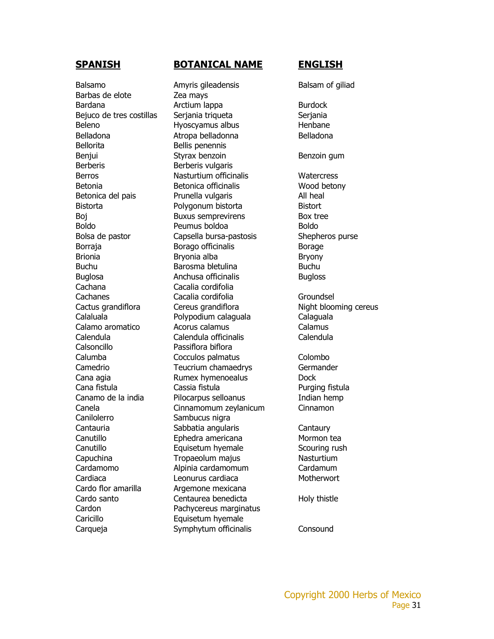Barbas de elote **Zea mays** Bellorita Bellis penennis Berberis Berberis vulgaris Cachana Cacalia cordifolia Calsoncillo Passiflora biflora Canilolerro Sambucus nigra Cardo flor amarilla **Argemone mexicana** Caricillo Equisetum hyemale

### **SPANISH BOTANICAL NAME ENGLISH**

Balsamo **Amyris gileadensis** Balsam of giliad Bardana **Arctium lappa** Burdock Bejuco de tres costillas Serjania triqueta Beleno Hyoscyamus albus Henbane Belladona **Atropa belladonna** Belladona Benjui Styrax benzoin Benzoin Benzoin gum Berros **Nasturtium officinalis** Watercress Betonia Betonica officinalis Wood betony Betonica del pais **Prunella vulgaris** All heal Bistorta Polygonum bistorta Bistort Boj Buxus semprevirens Box tree Boldo Peumus boldoa Boldo Bolsa de pastor Capsella bursa-pastosis Shepheros purse Borraja Borago officinalis Borage Borage Brionia **Bryonia alba** Bryonia alba Bryony Buchu Barosma bletulina Buchu Buchu Buglosa **Anchusa officinalis** Bugloss Cachanes Cacalia cordifolia Groundsel Cactus grandiflora Cereus grandiflora Night blooming cereus Calaluala Polypodium calaguala Calaguala Calamo aromatico Acorus calamus Calamus Calendula Calendula officinalis Calendula Calumba Cocculos palmatus Colombo Camedrio Teucrium chamaedrys Germander Cana agia Rumex hymenoealus Dock Cana fistula Cassia fistula Purging fistula Canamo de la india Pilocarpus selloanus Indian hemp Canela Cinnamomum zeylanicum Cinnamon Cantauria Sabbatia angularis Cantaury Canutillo Ephedra americana Mormon tea Canutillo Equisetum hyemale Scouring rush Capuchina Tropaeolum majus Nasturtium Cardamomo Alpinia cardamomum Cardamum Cardiaca Leonurus cardiaca Motherwort Cardo santo Centaurea benedicta Holy thistle Cardon Pachycereus marginatus Carqueja Symphytum officinalis Consound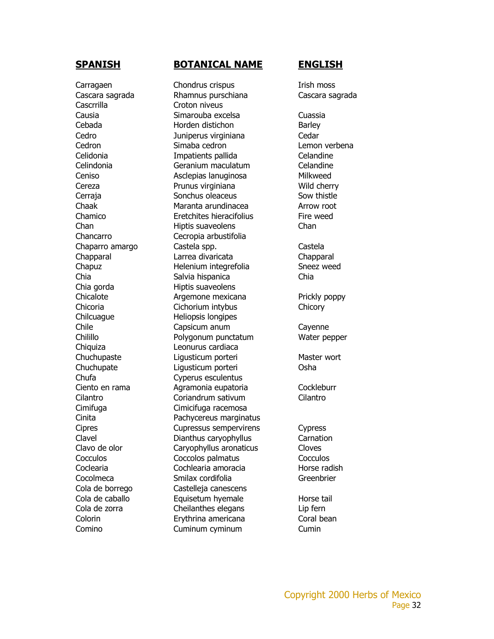Cascrrilla Croton niveus

### **SPANISH BOTANICAL NAME ENGLISH**

Carragaen Chondrus crispus Irish moss Cascara sagrada Rhamnus purschiana Cascara sagrada Causia Simarouba excelsa Cuassia Cebada **Horden distichon** Barley Cedro Juniperus virginiana Cedar Cedron Simaba cedron Lemon verbena Celidonia Impatients pallida Celandine Celindonia Geranium maculatum Celandine Ceniso Asclepias lanuginosa Milkweed Cereza Prunus virginiana Wild cherry Cerraja Sonchus oleaceus Sow thistle Chaak Maranta arundinacea Arrow root Chamico Eretchites hieracifolius Fire weed Chan Hiptis suaveolens Chan Chancarro Cecropia arbustifolia Chaparro amargo Castela spp. Castela Chapparal Larrea divaricata Chapparal Chapuz Helenium integrefolia Sneez weed Chia Salvia hispanica Chia Chia gorda Hiptis suaveolens Chicalote **Argemone mexicana** Prickly poppy Chicoria Cichorium intybus Chicory Chilcuague Heliopsis longipes Chile Capsicum anum Cayenne Chilillo Polygonum punctatum Water pepper Chiquiza Leonurus cardiaca Chuchupaste Liqusticum porteri Master wort Chuchupate Ligusticum porteri Osha Chufa Cyperus esculentus Ciento en rama Agramonia eupatoria Cockleburr Cilantro Coriandrum sativum Cilantro Cimifuga Cimicifuga racemosa Cinita Pachycereus marginatus Cipres Cupressus sempervirens Cypress Clavel Dianthus caryophyllus Carnation Clavo de olor Caryophyllus aronaticus Cloves Cocculos Coccolos palmatus Cocculos Coclearia Cochlearia amoracia Horse radish Cocolmeca Smilax cordifolia Greenbrier Cola de borrego Castelleja canescens Cola de caballo **Equisetum hyemale** Horse tail Cola de zorra Cheilanthes elegans Lip fern Colorin Erythrina americana Coral bean Comino Cuminum cyminum Cumin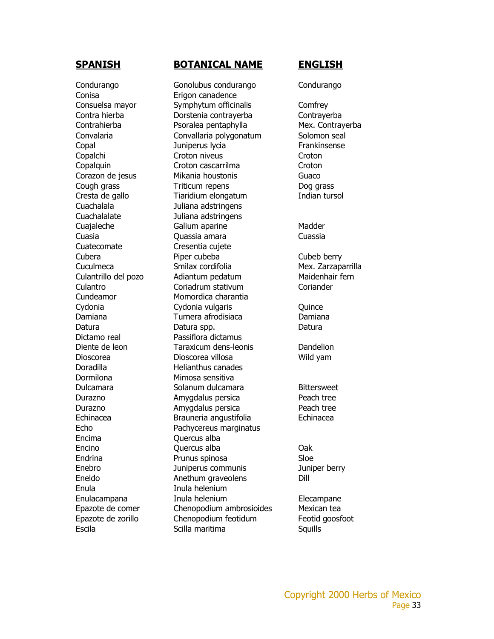Conisa Erigon canadence Cuachalala Juliana adstringens Cuachalalate Juliana adstringens Cuatecomate Cresentia cujete Dictamo real Passiflora dictamus Doradilla Helianthus canades Dormilona Mimosa sensitiva Encima Quercus alba Enula Inula helenium

### **SPANISH BOTANICAL NAME ENGLISH**

Condurango Gonolubus condurango Condurango Consuelsa mayor Symphytum officinalis Comfrey Contra hierba Dorstenia contrayerba Contrayerba Contrahierba Psoralea pentaphylla Mex. Contrayerba Convalaria Convallaria polygonatum Solomon seal Copal **Copal Copal Copal Copal Copal Copal Copal** Copal Copal Copal Copal Copal Copal Copal Copal Copal Copal Copal Copal Copal Copal Copal Copal Copal Copal Copal Copal Copal Copal Copal Copal Copal Copal Copal Copal Copa Copalchi Croton niveus Croton niveus Croton Copalquin Croton cascarrilma Croton Corazon de jesus Mikania houstonis Guaco Cough grass Triticum repens Dog grass Cresta de gallo Tiaridium elongatum Indian tursol Cuajaleche Galium aparine Madder Cuasia Quassia amara Cuassia Cubera Piper cubeba Cubeb berry Cuculmeca Smilax cordifolia Mex. Zarzaparrilla Culantrillo del pozo Adiantum pedatum Maidenhair fern Culantro Coriadrum stativum Coriander Cundeamor Momordica charantia Cydonia Cydonia vulgaris Quince Damiana Turnera afrodisiaca Damiana Datura **Datura Spp.** Datura Spp. **Datura** Datura Diente de leon Taraxicum dens-leonis Dandelion Dioscorea Dioscorea villosa Wild yam Dulcamara Solanum dulcamara Bittersweet Durazno **Amygdalus persica** Peach tree Durazno **Amygdalus persica** Peach tree Echinacea Brauneria angustifolia Echinacea Echo Pachycereus marginatus Encino Quercus alba Oak Endrina Prunus spinosa Sloe Enebro Juniperus communis Juniper berry Eneldo **Anethum graveolens** Dill Enulacampana Inula helenium Elecampane Epazote de comer Chenopodium ambrosioides Mexican tea Epazote de zorillo Chenopodium feotidum Feotid goosfoot Escila **Scilla maritima** Scilla maritima Squills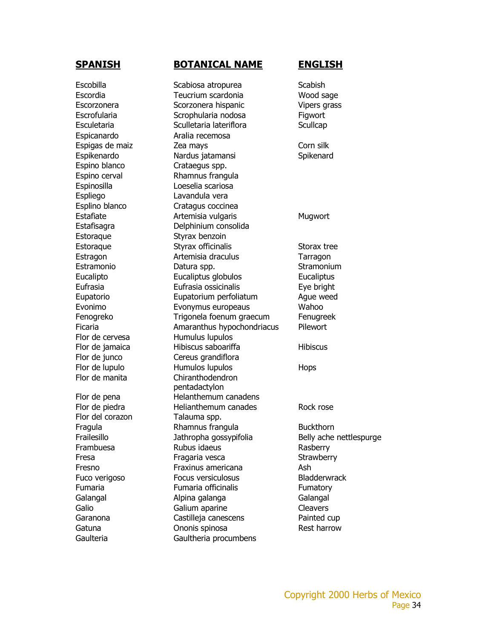Espicanardo Aralia recemosa Espino blanco Crataegus spp. Espinosilla Loeselia scariosa Espliego Lavandula vera Estoraque Styrax benzoin Flor de cervesa Humulus lupulos Flor del corazon Talauma spp.

### **SPANISH BOTANICAL NAME ENGLISH**

Escobilla Scabiosa atropurea Scabish Escordia Teucrium scardonia Wood sage Escorzonera Scorzonera hispanic Vipers grass Escrofularia **Escrofularia** Scrophularia nodosa **Figwort** Esculetaria Sculletaria lateriflora Scullcap Espigas de maiz  $\sim$  Zea mays  $\sim$  Corn silk Espikenardo Nardus jatamansi Spikenard Espino cerval Rhamnus frangula Esplino blanco Cratagus coccinea Estafiate **Artemisia vulgaris** Mugwort Estafisagra Delphinium consolida Estoraque Styrax officinalis Storax tree Estragon Artemisia draculus Tarragon Estramonio **Datura spp.** Contrast Datura September 2014 Stramonium Eucalipto Eucaliptus globulos Eucaliptus Eufrasia Eufrasia ossicinalis Eye bright Eupatorio Eupatorium perfoliatum Ague weed Evonimo Evonymus europeaus Wahoo Fenogreko Trigonela foenum graecum Fenugreek Ficaria **Amaranthus hypochondriacus** Pilewort Flor de jamaica **Hibiscus saboariffa** Hibiscus Flor de junco Cereus grandiflora Flor de lupulo **Humulos lupulos** Hops Flor de manita Chiranthodendron pentadactylon Flor de pena Helanthemum canadens Flor de piedra **Election** Helianthemum canades Rock rose Fragula Rhamnus frangula Buckthorn Frailesillo Jathropha gossypifolia Belly ache nettlespurge Frambuesa Rubus idaeus Rasberry Fresa **Fragaria vesca** Strawberry Fresno Fraxinus americana Ash Fuco verigoso **Focus versiculosus** Bladderwrack Fumaria Fumaria officinalis Fumatory Galangal **Alpina galanga** Galangal Galangal Galio Galium aparine Cleavers Garanona Castilleja canescens Painted cup Gatuna **C**honis spinosa **Rest harrow** Gaulteria Gaultheria procumbens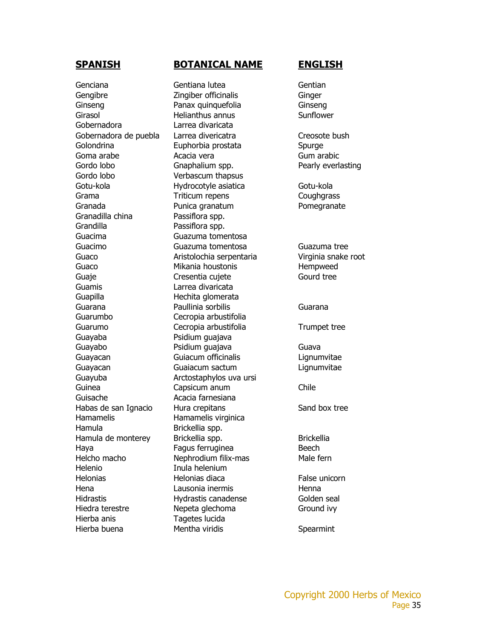Genciana Gentiana lutea Gentian Gengibre **Zingiber officinalis** Ginger Ginseng Panax quinquefolia Ginseng Girasol Helianthus annus Sunflower Gobernadora Larrea divaricata Gobernadora de puebla Larrea divericatra en al Creosote bush Golondrina Euphorbia prostata Spurge Goma arabe **Acacia vera** Gum arabic Gum arabic Gordo lobo **Gnaphalium spp.** Pearly everlasting Gordo lobo **Verbascum thapsus** Gotu-kola Hydrocotyle asiatica Gotu-kola Grama Triticum repens Coughgrass Granada **Punica granatum** Pomegranate Granadilla china Passiflora spp. Grandilla Passiflora spp. Guacima Guazuma tomentosa Guacimo Guazuma tomentosa Guazuma tree Guaco Aristolochia serpentaria Virginia snake root Guaco Mikania houstonis Hempweed Guaje Cresentia cujete Gourd tree Guamis Larrea divaricata Guapilla Hechita glomerata Guarana Paullinia sorbilis Guarana Guarumbo Cecropia arbustifolia Guarumo Cecropia arbustifolia Trumpet tree Guayaba Psidium guajava Guayabo Psidium guajava Guava Guayacan Guiacum officinalis Lignumvitae Guayacan Guaiacum sactum Lignumvitae Guayuba Arctostaphylos uva ursi Guinea Capsicum anum Chile Guisache **Acacia farnesiana** Habas de san Ignacio Hura crepitans Sand box tree Hamamelis Hamamelis virginica Hamula Brickellia spp. Hamula de monterey Brickellia spp. Brickellia Haya **Fagus ferruginea** Beech Helcho macho Nephrodium filix-mas Male fern Helenio Inula helenium Helonias Helonias diaca False unicorn Hena Lausonia inermis Henna Hidrastis Hydrastis canadense Golden seal Hiedra terestre **Nepeta glechoma** Ground ivy Hierba anis Tagetes lucida Hierba buena **Mentha viridis** Spearmint

### **SPANISH BOTANICAL NAME ENGLISH**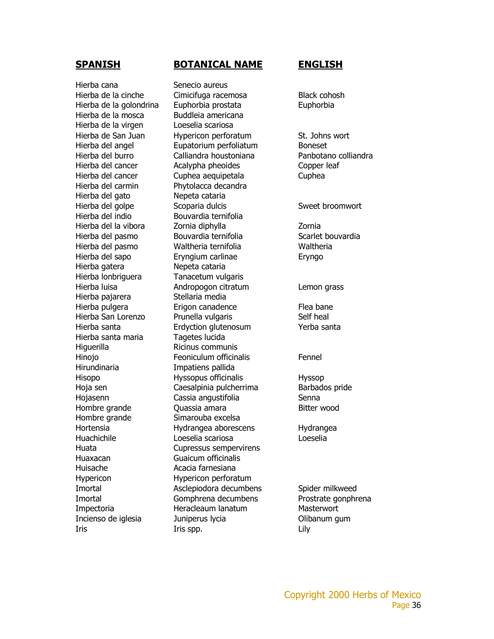Hierba cana Senecio aureus Hierba de la mosca Buddleia americana Hierba de la virgen Loeselia scariosa Hierba del carmin Phytolacca decandra Hierba del gato Nepeta cataria Hierba del indio Bouvardia ternifolia Hierba gatera Nepeta cataria Hierba lonbriguera Tanacetum vulgaris Hierba pajarera Stellaria media Hierba santa maria Tagetes lucida Higuerilla Ricinus communis Hirundinaria Impatiens pallida Hombre grande Simarouba excelsa Huaxacan Guaicum officinalis Huisache **Acacia farnesiana** Hypericon Hypericon perforatum

### **SPANISH BOTANICAL NAME ENGLISH**

Hierba de la cinche Cimicifuga racemosa Black cohosh Hierba de la golondrina Euphorbia prostata Euphorbia Hierba de San Juan Hypericon perforatum St. Johns wort Hierba del angel Eupatorium perfoliatum Boneset Hierba del burro Calliandra houstoniana Panbotano colliandra Hierba del cancer Acalypha pheoides Copper leaf Hierba del cancer Cuphea aequipetala Cuphea Hierba del golpe Scoparia dulcis Sweet broomwort Hierba del la vibora Zornia diphylla Zornia Hierba del pasmo bouvardia ternifolia en Scarlet bouvardia Hierba del pasmo Waltheria ternifolia Waltheria Hierba del sapo Eryngium carlinae Eryngo Hierba luisa Andropogon citratum Lemon grass Hierba pulgera Erigon canadence Flea bane Hierba San Lorenzo Prunella vulgaris Self heal Hierba santa Erdyction glutenosum Yerba santa Hinojo **Feoniculum officinalis** Fennel Hisopo Hyssopus officinalis Hyssop Hoja sen **Caesalpinia pulcherrima** Barbados pride Hojasenn Cassia angustifolia Senna Hombre grande **Quassia amara** Bitter wood Hortensia Hydrangea aborescens Hydrangea Huachichile Loeselia scariosa Loeselia Huata Cupressus sempervirens Imortal Maclepiodora decumbens Spider milkweed Imortal Gomphrena decumbens Prostrate gonphrena Impectoria **Heracleaum lanatum** Masterwort Incienso de iglesia Juniperus lycia Olibanum gum Iris Iris spp. Lily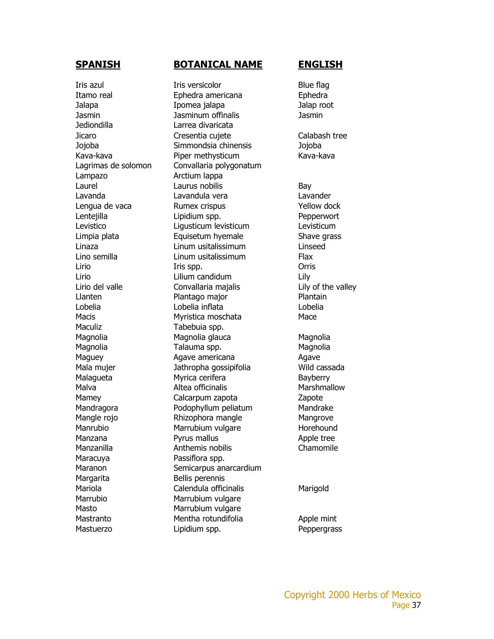Jediondilla Larrea divaricata Lampazo Arctium lappa Maculiz **Tabebuia** spp. Maracuya **Passiflora** spp. Margarita Bellis perennis Marrubio Marrubium vulgare Masto Marrubium vulgare

### **SPANISH BOTANICAL NAME ENGLISH**

Iris azul **Iris versicolor** Iris versions and Blue flag Itamo real **Ephedra americana** Ephedra Jalapa Ipomea jalapa Jalap root Jasmin Jasminum offinalis Jasmin Jicaro Cresentia cujete Calabash tree Jojoba Simmondsia chinensis Jojoba Kava-kava Piper methysticum Kava-kava Lagrimas de solomon Convallaria polygonatum Laurel **Laurus nobilis** Bay Lavanda Lavandula vera Lavander Lengua de vaca **Rumex crispus** Xellow dock Lentejilla Lipidium spp. Pepperwort Levistico Ligusticum levisticum Levisticum Limpia plata Equisetum hyemale Shave grass Linaza Linum usitalissimum Linseed Lino semilla Linum usitalissimum Flax Lirio Iris spp. **Iris spp.** Orris Lirio Lilium candidum Lily Lirio del valle Convallaria majalis Lily of the valley Llanten Plantago major Plantain Lobelia Lobelia inflata Lobelia Macis Myristica moschata Mace Magnolia Magnolia glauca Magnolia Magnolia **Talauma spp.** Magnolia Maguey **Agave americana** Agave Mala mujer Jathropha gossipifolia Wild cassada Malagueta Myrica cerifera **Bayberry** Malva **Marshmallow** Altea officinalis Marshmallow Mamey Calcarpum zapota Zapote Mandragora **Podophyllum peliatum** Mandrake Mangle rojo **Rhizophora mangle** Mangrove Manrubio Marrubium vulgare Manrubio Manzana **Pyrus mallus Apple tree** Manzanilla **Anthemis nobilis** Chamomile Maranon Semicarpus anarcardium Mariola Calendula officinalis Marigold Mastranto Mentha rotundifolia and Apple mint Mastuerzo **Lipidium spp.** Peppergrass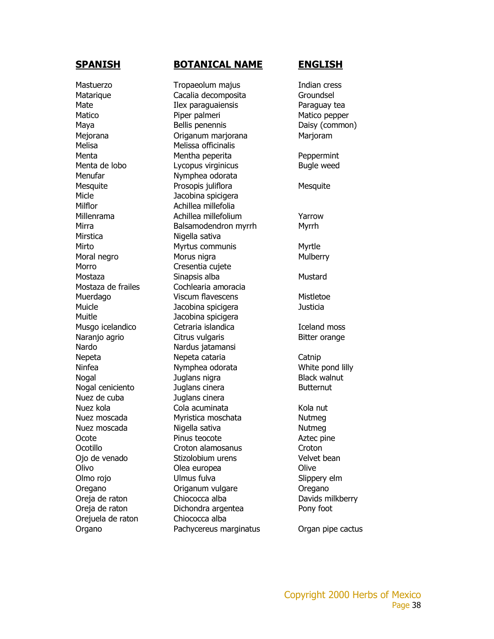Melisa Melissa officinalis Menufar Nymphea odorata Micle **Jacobina** spicigera Milflor **Achillea millefolia** Mirstica Nigella sativa Morro **Cresentia** cujete Muitle Jacobina spicigera Nardo Nardus jatamansi Nuez de cuba Juglans cinera Orejuela de raton Chiococca alba

### **SPANISH BOTANICAL NAME ENGLISH**

Mastuerzo **Tropaeolum majus** Indian cress Matarique Cacalia decomposita Groundsel Mate Ilex paraguaiensis Paraguay tea Matico Piper palmeri Matico pepper Maya Bellis penennis Daisy (common) Mejorana Origanum marjorana Marjoram Menta Mentha peperita Peppermint Menta de lobo Lycopus virginicus Bugle weed Mesquite Prosopis juliflora Mesquite Millenrama Achillea millefolium Yarrow Mirra **Balsamodendron myrrh** Myrrh Mirto Myrtus communis Myrtle Moral negro **Morus nigra** Morus nigra Mostaza Sinapsis alba Mustard Mostaza de frailes **Cochlearia amoracia** Muerdago **Viscum flavescens** Mistletoe Muicle Jacobina spicigera Justicia Musgo icelandico Cetraria islandica in Iceland moss Naranjo agrio **Citrus vulgaris** Bitter orange Nepeta Nepeta cataria Catnip Ninfea Nymphea odorata White pond lilly Nogal **Immuno Black** walnut Juglans nigra Nogal ceniciento Muglans cinera de la Butternut Nuez kola **Nuez kola amaza di Kola nut**uka Cola acuminata kola nutuka Kola nut Nuez moscada Myristica moschata Nutmeg Nuez moscada Migella sativa Nutmega Kutmega Kutmega Kutmega Kutmega Kutmega Kutmega Kutmega Kutmega Kutmega Ku Ocote Pinus teocote Aztec pine Ocotillo Croton alamosanus Croton Ojo de venado Stizolobium urens Velvet bean Olivo Olea europea Olive Olmo rojo Ulmus fulva Slippery elm Oregano Origanum vulgare Oregano Oreja de raton Chiococca alba Davids milkberry Oreja de raton Dichondra argentea Pony foot Organo Pachycereus marginatus Organ pipe cactus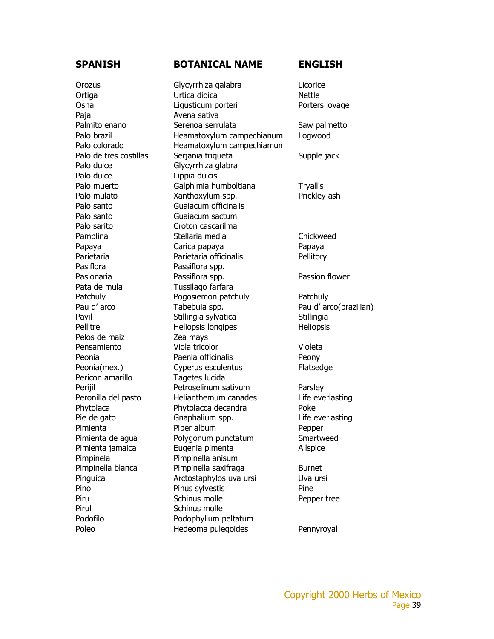Paja **Avena sativa** Palo dulce Glycyrrhiza glabra Palo dulce Lippia dulcis Palo santo Guaiacum officinalis Palo santo Guaiacum sactum Palo sarito Croton cascarilma Pasiflora **Passiflora** spp. Pata de mula Tussilago farfara Pelos de maiz  $\qquad \qquad$  Zea mays Pericon amarillo Tagetes lucida Pimpinela Pimpinella anisum Pirul Schinus molle

### **SPANISH BOTANICAL NAME ENGLISH**

Orozus Glycyrrhiza galabra Licorice Ortiga **Nettle** Urtica dioica Osha Ligusticum porteri Porters lovage Palmito enano in Serenoa serrulata in Saw palmetto Palo brazil **Heamatoxylum campechianum** Logwood Palo colorado **Heamatoxylum campechiamun** Palo de tres costillas Serjania triqueta Supple jack Palo muerto **Galphimia humboltiana** Tryallis Palo mulato **Xanthoxylum spp.** Prickley ash Pamplina Stellaria media Chickweed Papaya Papaya Carica papaya Papaya Papaya Parietaria Parietaria officinalis Pellitory Pasionaria Passiflora spp. Passion flower Patchuly **Pogosiemon patchuly** Patchuly Pau d'arco **Tabebuia spp.** Pau d'arco(brazilian) Pavil Stillingia sylvatica Stillingia sylvatica Stillingia Pellitre Heliopsis longipes Heliopsis Heliopsis Pensamiento Viola tricolor Violeta Peonia **Paenia officinalis** Peony Peonia(mex.) Cyperus esculentus Flatsedge Perijil Petroselinum sativum Parsley Peronilla del pasto Helianthemum canades Life everlasting Phytolaca Phytolacca decandra Poke Pie de gato Gnaphalium spp. Life everlasting Pimienta Piper album Pepper Pimienta de agua Polygonum punctatum Smartweed Pimienta jamaica Eugenia pimenta Allspice Pimpinella blanca Pimpinella saxifraga Burnet Pinguica **Arctostaphylos uva ursi** Uva ursi Pino Pinus sylvestis Pine Piru Schinus molle Pepper tree Podofilo Podophyllum peltatum Poleo **Hedeoma pulegoides** Pennyroyal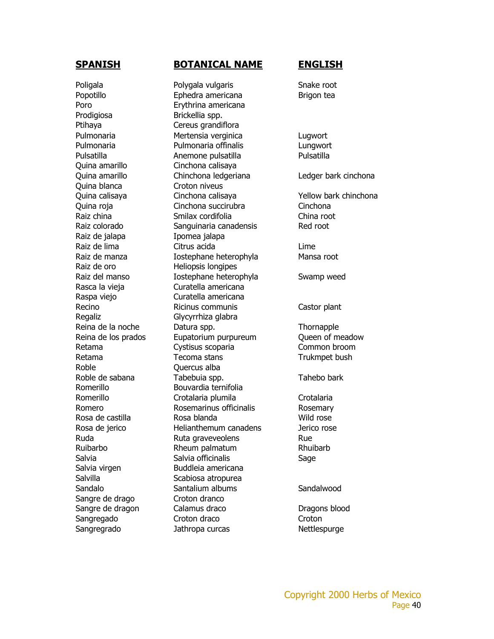Prodigiosa Brickellia spp. Ptihaya Cereus grandiflora Quina amarillo Cinchona calisaya Quina blanca Croton niveus Raiz de jalapa **Ipomea** jalapa Raiz de oro **Heliopsis longipes** Regaliz Glycyrrhiza glabra Roble **Contract Contract Contract Contract Contract Contract Contract Contract Contract Contract Contract Contract Contract Contract Contract Contract Contract Contract Contract Contract Contract Contract Contract Contract** Salvilla Scabiosa atropurea Sangre de drago Croton dranco

### **SPANISH BOTANICAL NAME ENGLISH**

Poligala Polygala vulgaris Snake root Popotillo **Ephedra americana** Brigon tea Poro Erythrina americana Pulmonaria Mertensia verginica Lugwort Pulmonaria Pulmonaria offinalis Lungwort Pulsatilla **Anemone pulsatilla** Pulsatilla Quina amarillo Chinchona ledgeriana Ledger bark cinchona Quina calisaya Cinchona calisaya Yellow bark chinchona Quina roja Cinchona succirubra Cinchona Raiz china Smilax cordifolia China root Raiz colorado Sanguinaria canadensis Red root Raiz de lima Citrus acida Lime Raiz de manza **Iostephane heterophyla** Mansa root Raiz del manso **Iostephane heterophyla** Swamp weed Rasca la vieja Curatella americana Raspa viejo Curatella americana Recino Ricinus communis Castor plant Reina de la noche Datura spp. Thornapple Reina de los prados Eupatorium purpureum Queen of meadow Retama Cystisus scoparia Common broom Retama Tecoma stans Trukmpet bush Roble de sabana Tabebuia spp. The Tahebo bark Romerillo Bouvardia ternifolia Romerillo Crotalaria plumila Crotalaria Romero Rosemarinus officinalis Rosemary Rosa de castilla Rosa blanda Mild rose Rosa de jerico Helianthemum canadens Jerico rose Ruda Ruta graveveolens Rue Ruibarbo Rheum palmatum Rhuibarb Salvia Salvia officinalis Salvia Sage Salvia virgen Buddleia americana Sandalo Santalium albums Sandalwood Sangre de dragon Calamus draco Dragons blood Sangregado Croton draco Croton Croton Sangregrado Jathropa curcas Nettlespurge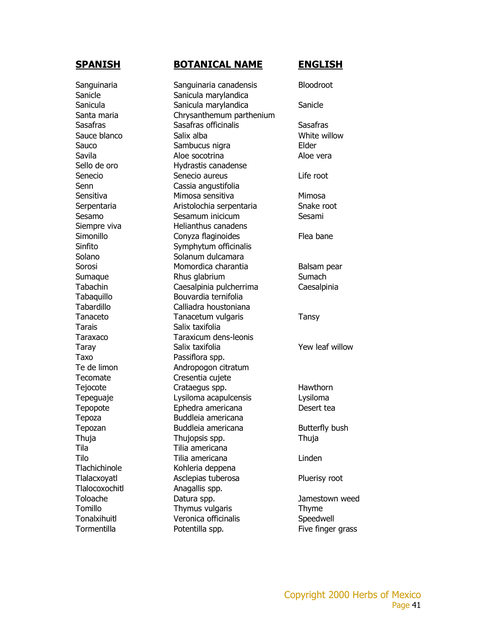Tarais Salix taxifolia Taxo Passiflora spp. Tila Tilia americana Tlalocoxochitl Anagallis spp.

### **SPANISH BOTANICAL NAME ENGLISH**

Sanguinaria Sanguinaria canadensis Bloodroot Sanicle Sanicula marylandica Sanicula Sanicula marylandica Sanicula Sanicula Sanicula Sanicula Sanicula Sanicula Sanicula Sanicula Sanicula Santa maria Chrysanthemum parthenium Sasafras Sasafras officinalis Sasafras Sauce blanco Salix alba Salix and White willow Sauco Sambucus nigra entre Elder Savila **Aloe socotrina** Aloe vera Sello de oro **Hydrastis canadense** Senecio Senecio aureus Life root Senn Cassia angustifolia Sensitiva Mimosa sensitiva Mimosa Serpentaria **Aristolochia serpentaria** Snake root Sesamo Sesamum inicicum Sesami Siempre viva Helianthus canadens Simonillo Conyza flaginoides Flea bane Sinfito Symphytum officinalis Solano Solanum dulcamara Sorosi Momordica charantia Balsam pear Sumaque Rhus glabrium Sumach Tabachin Caesalpinia pulcherrima Caesalpinia Tabaquillo Bouvardia ternifolia Tabardillo Calliadra houstoniana Tanaceto Tanacetum vulgaris Tansy Taraxaco Taraxicum dens-leonis Taray Salix taxifolia Taray Yew leaf willow Te de limon **Andropogon citratum** Tecomate Cresentia cujete Tejocote Crataegus spp. Hawthorn Tepeguaje Lysiloma acapulcensis Lysiloma Tepopote Ephedra americana Desert tea Tepoza Buddleia americana Tepozan Buddleia americana Butterfly bush Thuja Thujopsis spp. Thuja Tilo Tilia americana Linden Tlachichinole Kohleria deppena Tlalacxoyatl Asclepias tuberosa Pluerisy root Toloache Datura spp. Jamestown weed Tomillo Thymus vulgaris Thyme Tonalxihuitl Veronica officinalis Speedwell Tormentilla **Exercicial** Potentilla spp. The Five finger grass